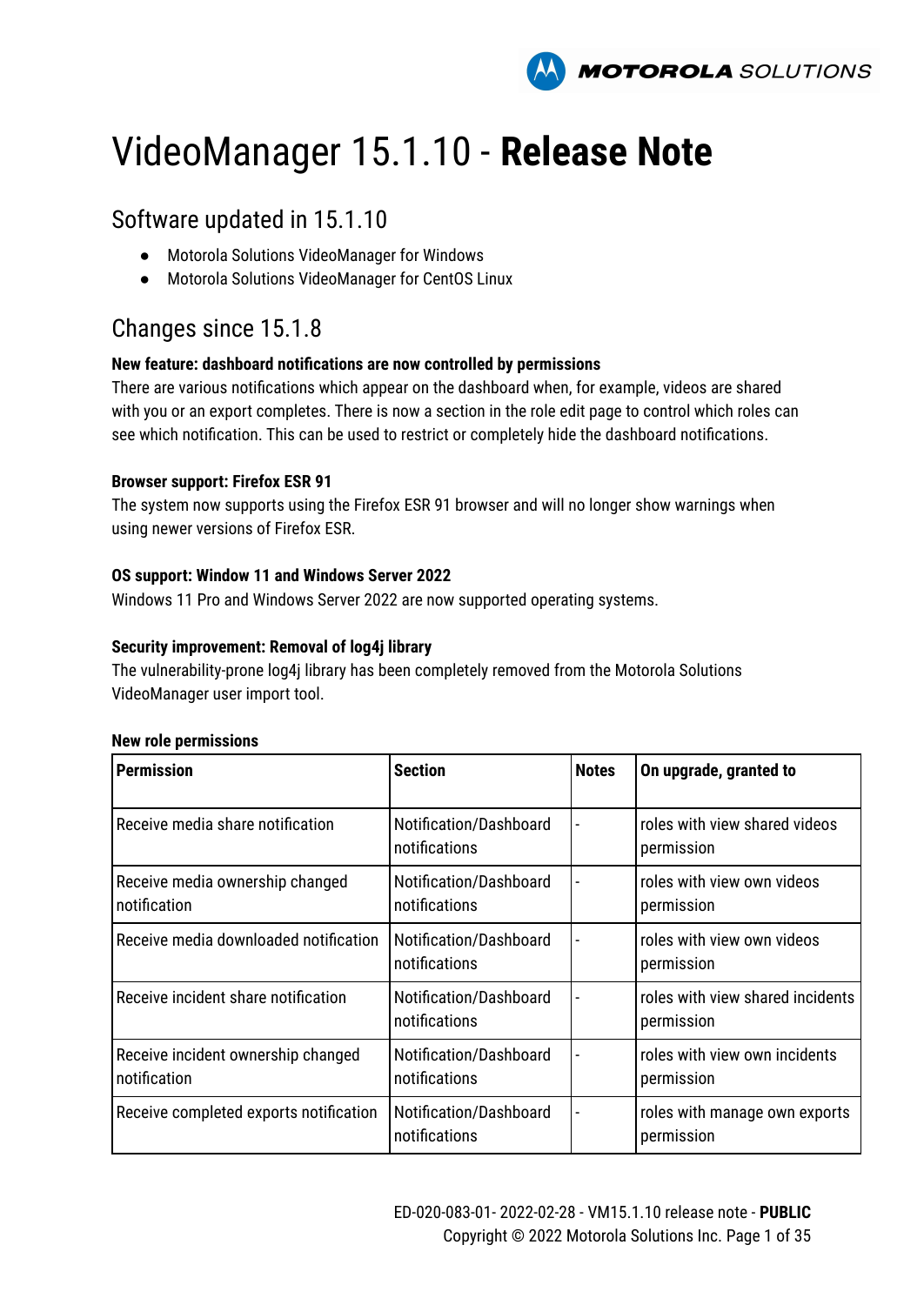

# VideoManager 15.1.10 - **Release Note**

### Software updated in 15.1.10

- Motorola Solutions VideoManager for Windows
- Motorola Solutions VideoManager for CentOS Linux

### Changes since 15.1.8

#### **New feature: dashboard notifications are now controlled by permissions**

There are various notifications which appear on the dashboard when, for example, videos are shared with you or an export completes. There is now a section in the role edit page to control which roles can see which notification. This can be used to restrict or completely hide the dashboard notifications.

#### **Browser support: Firefox ESR 91**

The system now supports using the Firefox ESR 91 browser and will no longer show warnings when using newer versions of Firefox ESR.

#### **OS support: Window 11 and Windows Server 2022**

Windows 11 Pro and Windows Server 2022 are now supported operating systems.

#### **Security improvement: Removal of log4j library**

The vulnerability-prone log4j library has been completely removed from the Motorola Solutions VideoManager user import tool.

#### **New role permissions**

| <b>Permission</b>                                  | <b>Section</b>                          | <b>Notes</b> | On upgrade, granted to                         |
|----------------------------------------------------|-----------------------------------------|--------------|------------------------------------------------|
| Receive media share notification                   | Notification/Dashboard<br>notifications |              | roles with view shared videos<br>permission    |
| Receive media ownership changed<br>notification    | Notification/Dashboard<br>notifications |              | roles with view own videos<br>permission       |
| Receive media downloaded notification              | Notification/Dashboard<br>notifications |              | roles with view own videos<br>permission       |
| Receive incident share notification                | Notification/Dashboard<br>notifications |              | roles with view shared incidents<br>permission |
| Receive incident ownership changed<br>notification | Notification/Dashboard<br>notifications |              | roles with view own incidents<br>permission    |
| Receive completed exports notification             | Notification/Dashboard<br>notifications |              | roles with manage own exports<br>permission    |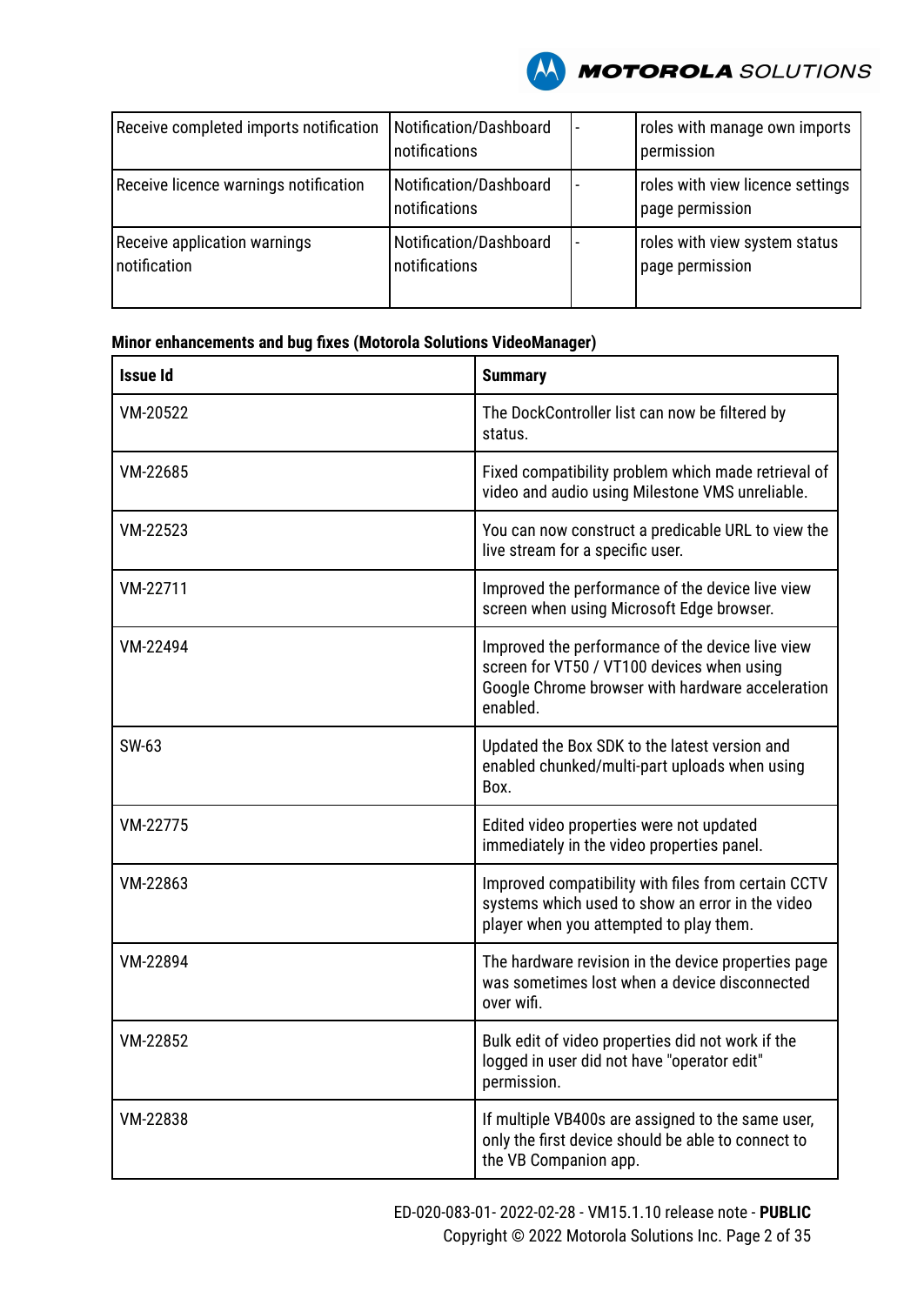

| Receive completed imports notification       | Notification/Dashboard<br>notifications | roles with manage own imports<br>permission         |
|----------------------------------------------|-----------------------------------------|-----------------------------------------------------|
| Receive licence warnings notification        | Notification/Dashboard<br>notifications | roles with view licence settings<br>page permission |
| Receive application warnings<br>notification | Notification/Dashboard<br>notifications | roles with view system status<br>I page permission  |

| <b>Issue Id</b> | <b>Summary</b>                                                                                                                                                 |
|-----------------|----------------------------------------------------------------------------------------------------------------------------------------------------------------|
| VM-20522        | The DockController list can now be filtered by<br>status.                                                                                                      |
| VM-22685        | Fixed compatibility problem which made retrieval of<br>video and audio using Milestone VMS unreliable.                                                         |
| VM-22523        | You can now construct a predicable URL to view the<br>live stream for a specific user.                                                                         |
| VM-22711        | Improved the performance of the device live view<br>screen when using Microsoft Edge browser.                                                                  |
| VM-22494        | Improved the performance of the device live view<br>screen for VT50 / VT100 devices when using<br>Google Chrome browser with hardware acceleration<br>enabled. |
| SW-63           | Updated the Box SDK to the latest version and<br>enabled chunked/multi-part uploads when using<br>Box.                                                         |
| VM-22775        | Edited video properties were not updated<br>immediately in the video properties panel.                                                                         |
| VM-22863        | Improved compatibility with files from certain CCTV<br>systems which used to show an error in the video<br>player when you attempted to play them.             |
| VM-22894        | The hardware revision in the device properties page<br>was sometimes lost when a device disconnected<br>over wifi.                                             |
| VM-22852        | Bulk edit of video properties did not work if the<br>logged in user did not have "operator edit"<br>permission.                                                |
| VM-22838        | If multiple VB400s are assigned to the same user,<br>only the first device should be able to connect to<br>the VB Companion app.                               |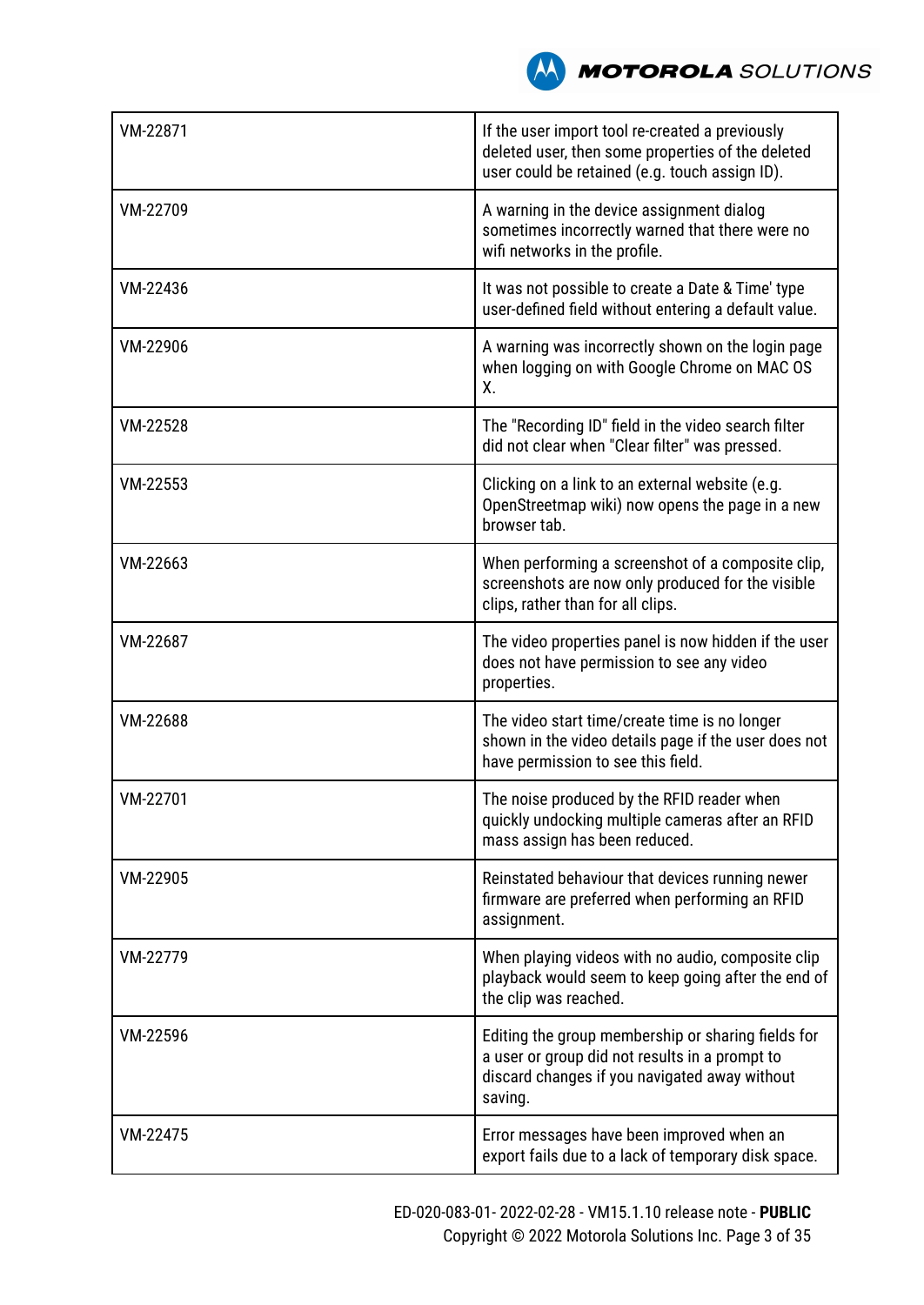

| VM-22871 | If the user import tool re-created a previously<br>deleted user, then some properties of the deleted<br>user could be retained (e.g. touch assign ID).           |
|----------|------------------------------------------------------------------------------------------------------------------------------------------------------------------|
| VM-22709 | A warning in the device assignment dialog<br>sometimes incorrectly warned that there were no<br>wifi networks in the profile.                                    |
| VM-22436 | It was not possible to create a Date & Time' type<br>user-defined field without entering a default value.                                                        |
| VM-22906 | A warning was incorrectly shown on the login page<br>when logging on with Google Chrome on MAC OS<br>Χ.                                                          |
| VM-22528 | The "Recording ID" field in the video search filter<br>did not clear when "Clear filter" was pressed.                                                            |
| VM-22553 | Clicking on a link to an external website (e.g.<br>OpenStreetmap wiki) now opens the page in a new<br>browser tab.                                               |
| VM-22663 | When performing a screenshot of a composite clip,<br>screenshots are now only produced for the visible<br>clips, rather than for all clips.                      |
| VM-22687 | The video properties panel is now hidden if the user<br>does not have permission to see any video<br>properties.                                                 |
| VM-22688 | The video start time/create time is no longer<br>shown in the video details page if the user does not<br>have permission to see this field.                      |
| VM-22701 | The noise produced by the RFID reader when<br>quickly undocking multiple cameras after an RFID<br>mass assign has been reduced.                                  |
| VM-22905 | Reinstated behaviour that devices running newer<br>firmware are preferred when performing an RFID<br>assignment.                                                 |
| VM-22779 | When playing videos with no audio, composite clip<br>playback would seem to keep going after the end of<br>the clip was reached.                                 |
| VM-22596 | Editing the group membership or sharing fields for<br>a user or group did not results in a prompt to<br>discard changes if you navigated away without<br>saving. |
| VM-22475 | Error messages have been improved when an<br>export fails due to a lack of temporary disk space.                                                                 |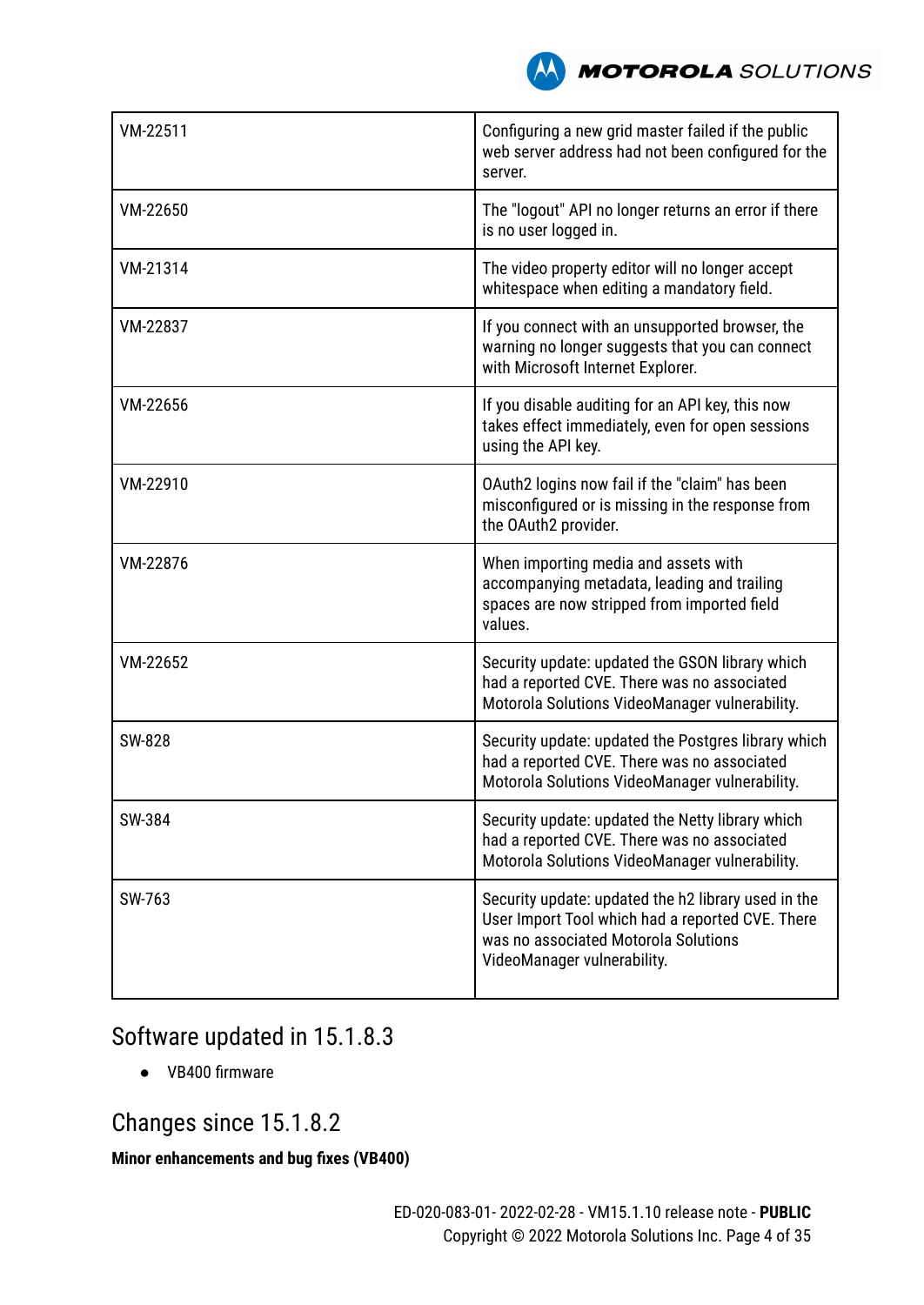

| VM-22511 | Configuring a new grid master failed if the public<br>web server address had not been configured for the<br>server.                                                            |
|----------|--------------------------------------------------------------------------------------------------------------------------------------------------------------------------------|
| VM-22650 | The "logout" API no longer returns an error if there<br>is no user logged in.                                                                                                  |
| VM-21314 | The video property editor will no longer accept<br>whitespace when editing a mandatory field.                                                                                  |
| VM-22837 | If you connect with an unsupported browser, the<br>warning no longer suggests that you can connect<br>with Microsoft Internet Explorer.                                        |
| VM-22656 | If you disable auditing for an API key, this now<br>takes effect immediately, even for open sessions<br>using the API key.                                                     |
| VM-22910 | OAuth2 logins now fail if the "claim" has been<br>misconfigured or is missing in the response from<br>the OAuth2 provider.                                                     |
| VM-22876 | When importing media and assets with<br>accompanying metadata, leading and trailing<br>spaces are now stripped from imported field<br>values.                                  |
| VM-22652 | Security update: updated the GSON library which<br>had a reported CVE. There was no associated<br>Motorola Solutions VideoManager vulnerability.                               |
| SW-828   | Security update: updated the Postgres library which<br>had a reported CVE. There was no associated<br>Motorola Solutions VideoManager vulnerability.                           |
| SW-384   | Security update: updated the Netty library which<br>had a reported CVE. There was no associated<br>Motorola Solutions VideoManager vulnerability.                              |
| SW-763   | Security update: updated the h2 library used in the<br>User Import Tool which had a reported CVE. There<br>was no associated Motorola Solutions<br>VideoManager vulnerability. |

# Software updated in 15.1.8.3

● VB400 firmware

# Changes since 15.1.8.2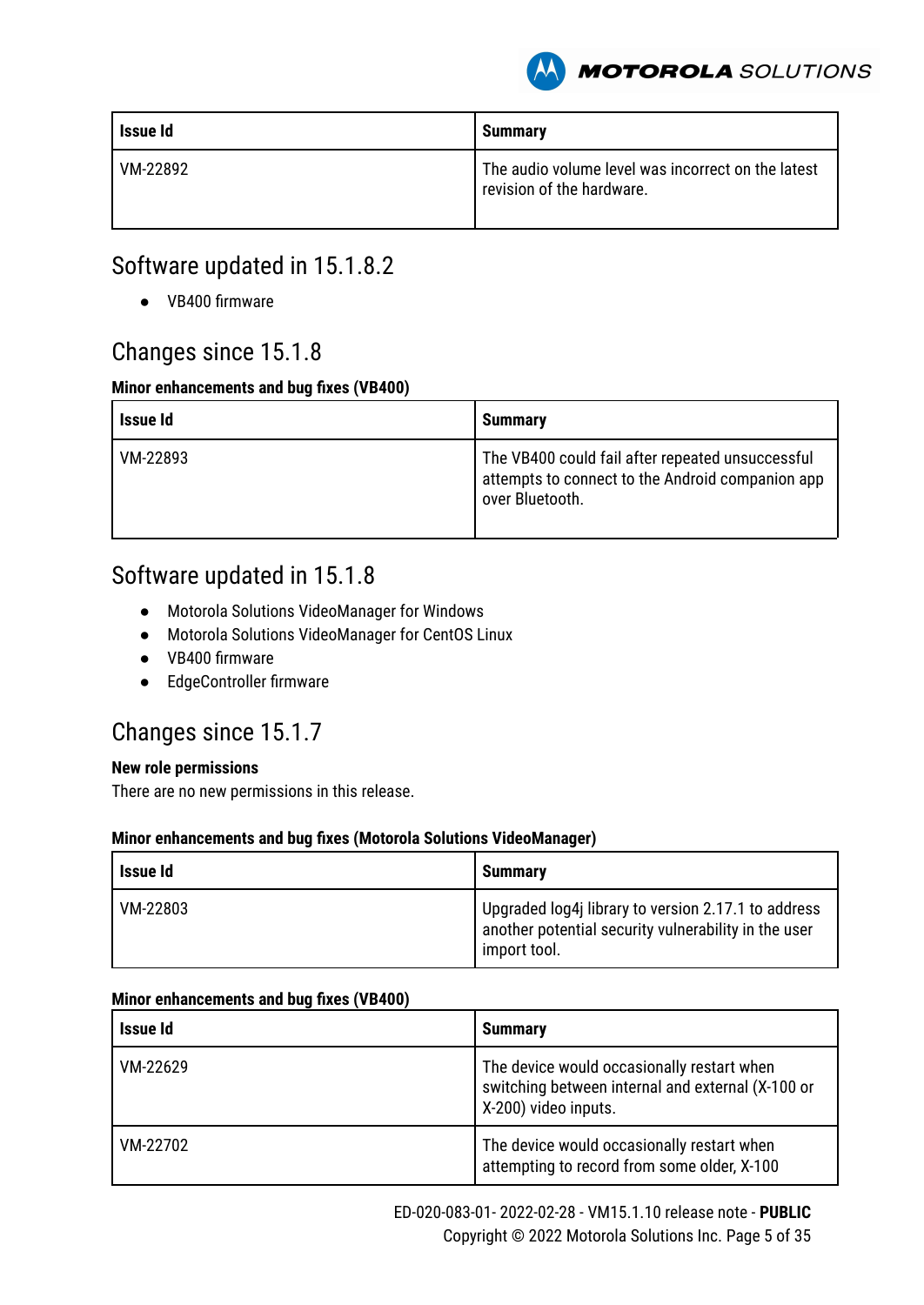

| Issue Id | <b>Summary</b>                                                                  |
|----------|---------------------------------------------------------------------------------|
| VM-22892 | The audio volume level was incorrect on the latest<br>revision of the hardware. |

# Software updated in 15.1.8.2

● VB400 firmware

### Changes since 15.1.8

#### **Minor enhancements and bug fixes (VB400)**

| Issue Id | <b>Summary</b>                                                                                                          |
|----------|-------------------------------------------------------------------------------------------------------------------------|
| VM-22893 | The VB400 could fail after repeated unsuccessful<br>attempts to connect to the Android companion app<br>over Bluetooth. |

# Software updated in 15.1.8

- Motorola Solutions VideoManager for Windows
- Motorola Solutions VideoManager for CentOS Linux
- VB400 firmware
- EdgeController firmware

### Changes since 15.1.7

#### **New role permissions**

There are no new permissions in this release.

#### **Minor enhancements and bug fixes (Motorola Solutions VideoManager)**

| Issue Id | <b>Summary</b>                                                                                                              |
|----------|-----------------------------------------------------------------------------------------------------------------------------|
| VM-22803 | Upgraded log4j library to version 2.17.1 to address<br>another potential security vulnerability in the user<br>import tool. |

| Issue Id | <b>Summary</b>                                                                                                          |
|----------|-------------------------------------------------------------------------------------------------------------------------|
| VM-22629 | The device would occasionally restart when<br>switching between internal and external (X-100 or<br>X-200) video inputs. |
| VM-22702 | The device would occasionally restart when<br>attempting to record from some older, X-100                               |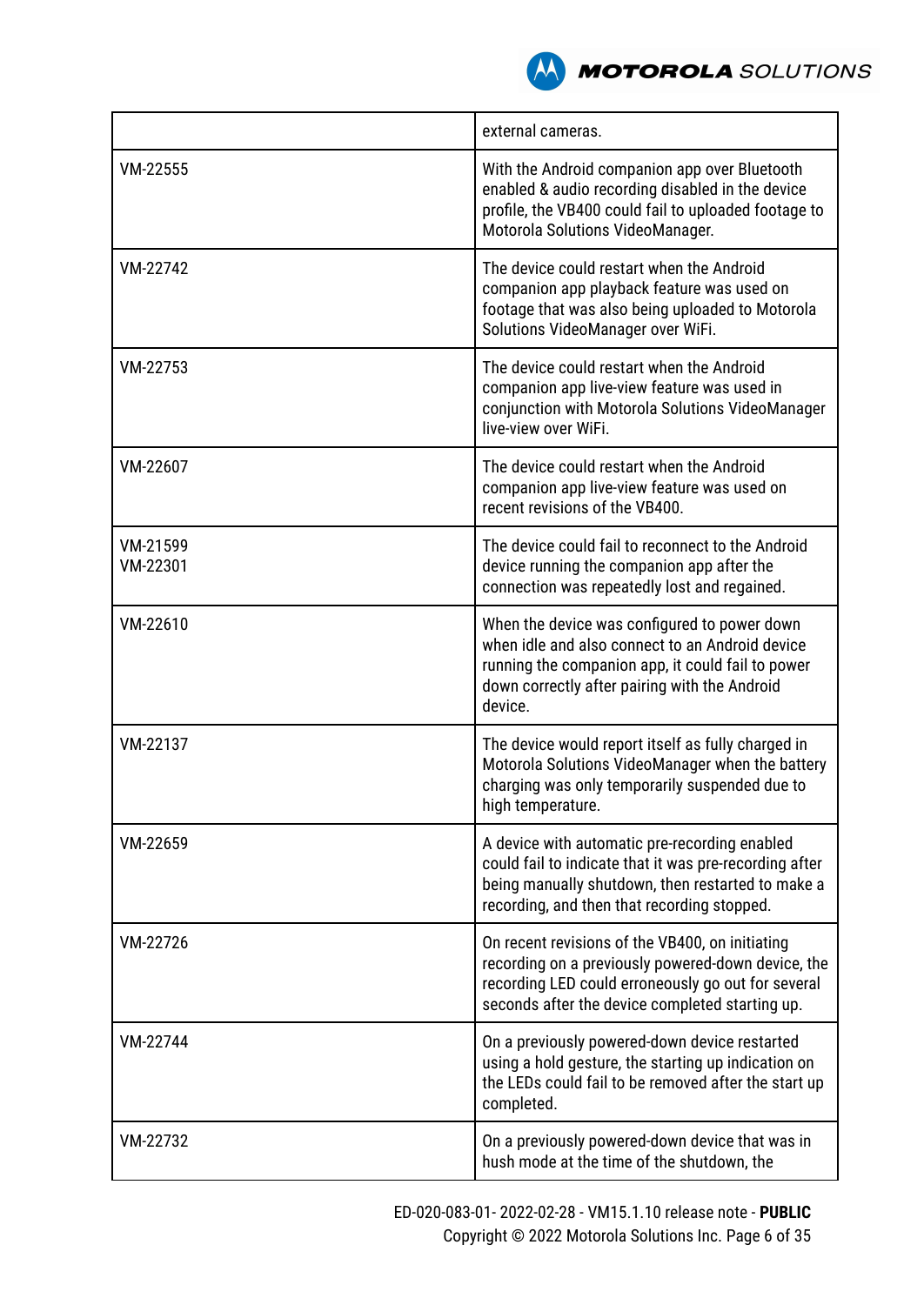

|                      | external cameras.                                                                                                                                                                                                |
|----------------------|------------------------------------------------------------------------------------------------------------------------------------------------------------------------------------------------------------------|
| VM-22555             | With the Android companion app over Bluetooth<br>enabled & audio recording disabled in the device<br>profile, the VB400 could fail to uploaded footage to<br>Motorola Solutions VideoManager.                    |
| VM-22742             | The device could restart when the Android<br>companion app playback feature was used on<br>footage that was also being uploaded to Motorola<br>Solutions VideoManager over WiFi.                                 |
| VM-22753             | The device could restart when the Android<br>companion app live-view feature was used in<br>conjunction with Motorola Solutions VideoManager<br>live-view over WiFi.                                             |
| VM-22607             | The device could restart when the Android<br>companion app live-view feature was used on<br>recent revisions of the VB400.                                                                                       |
| VM-21599<br>VM-22301 | The device could fail to reconnect to the Android<br>device running the companion app after the<br>connection was repeatedly lost and regained.                                                                  |
| VM-22610             | When the device was configured to power down<br>when idle and also connect to an Android device<br>running the companion app, it could fail to power<br>down correctly after pairing with the Android<br>device. |
| VM-22137             | The device would report itself as fully charged in<br>Motorola Solutions VideoManager when the battery<br>charging was only temporarily suspended due to<br>high temperature.                                    |
| VM-22659             | A device with automatic pre-recording enabled<br>could fail to indicate that it was pre-recording after<br>being manually shutdown, then restarted to make a<br>recording, and then that recording stopped.      |
| VM-22726             | On recent revisions of the VB400, on initiating<br>recording on a previously powered-down device, the<br>recording LED could erroneously go out for several<br>seconds after the device completed starting up.   |
| VM-22744             | On a previously powered-down device restarted<br>using a hold gesture, the starting up indication on<br>the LEDs could fail to be removed after the start up<br>completed.                                       |
| VM-22732             | On a previously powered-down device that was in<br>hush mode at the time of the shutdown, the                                                                                                                    |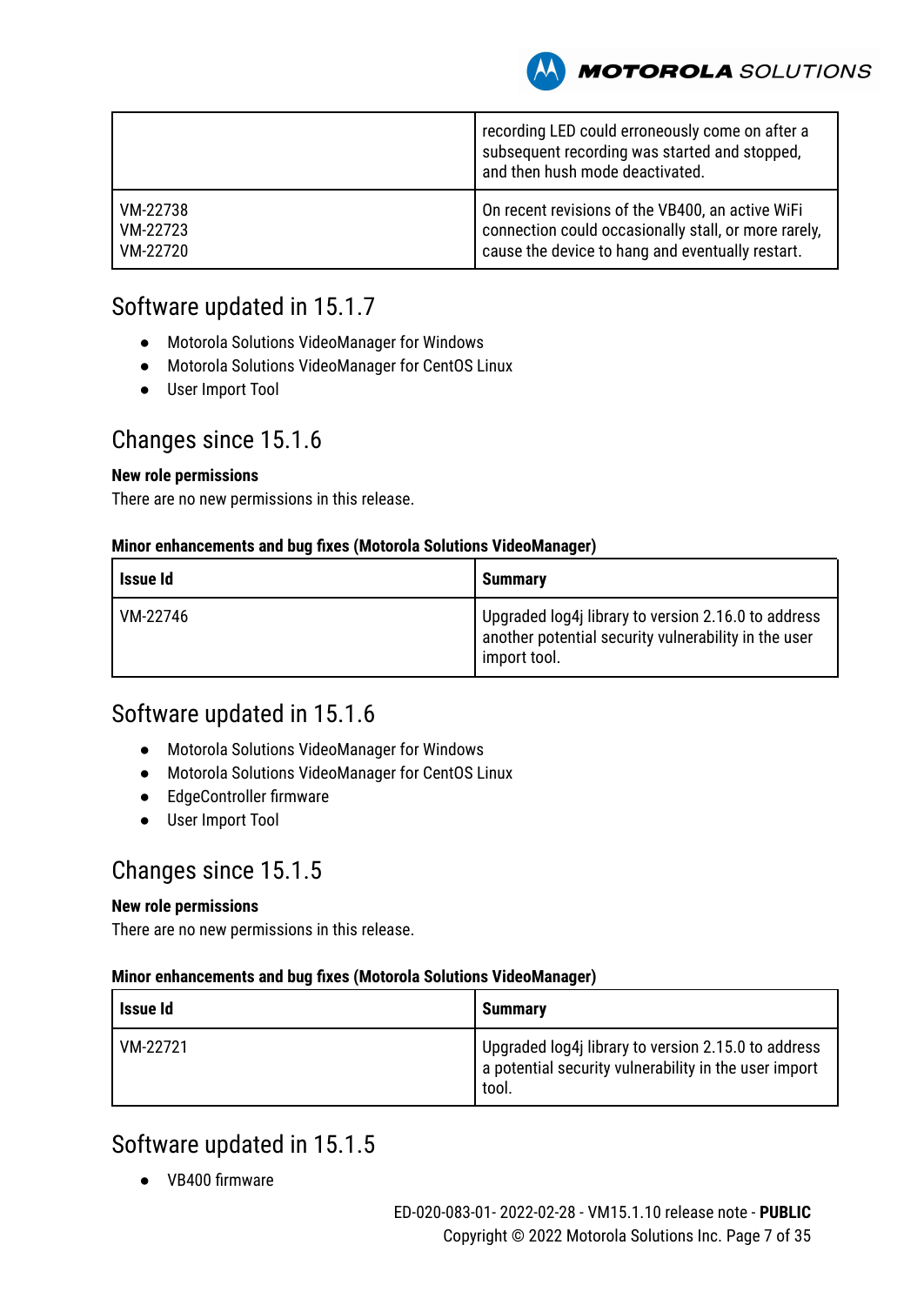**MOTOROLA** SOLUTIONS

|          | recording LED could erroneously come on after a<br>subsequent recording was started and stopped,<br>and then hush mode deactivated. |
|----------|-------------------------------------------------------------------------------------------------------------------------------------|
| VM-22738 | On recent revisions of the VB400, an active WiFi                                                                                    |
| VM-22723 | connection could occasionally stall, or more rarely,                                                                                |
| VM-22720 | cause the device to hang and eventually restart.                                                                                    |

# Software updated in 15.1.7

- Motorola Solutions VideoManager for Windows
- Motorola Solutions VideoManager for CentOS Linux
- User Import Tool

### Changes since 15.1.6

#### **New role permissions**

There are no new permissions in this release.

#### **Minor enhancements and bug fixes (Motorola Solutions VideoManager)**

| Issue Id | <b>Summary</b>                                                                                                              |
|----------|-----------------------------------------------------------------------------------------------------------------------------|
| VM-22746 | Upgraded log4j library to version 2.16.0 to address<br>another potential security vulnerability in the user<br>import tool. |

### Software updated in 15.1.6

- Motorola Solutions VideoManager for Windows
- Motorola Solutions VideoManager for CentOS Linux
- EdgeController firmware
- User Import Tool

### Changes since 15.1.5

#### **New role permissions**

There are no new permissions in this release.

#### **Minor enhancements and bug fixes (Motorola Solutions VideoManager)**

| Issue Id | <b>Summary</b>                                                                                                        |
|----------|-----------------------------------------------------------------------------------------------------------------------|
| VM-22721 | Upgraded log4j library to version 2.15.0 to address<br>a potential security vulnerability in the user import<br>tool. |

### Software updated in 15.1.5

● VB400 firmware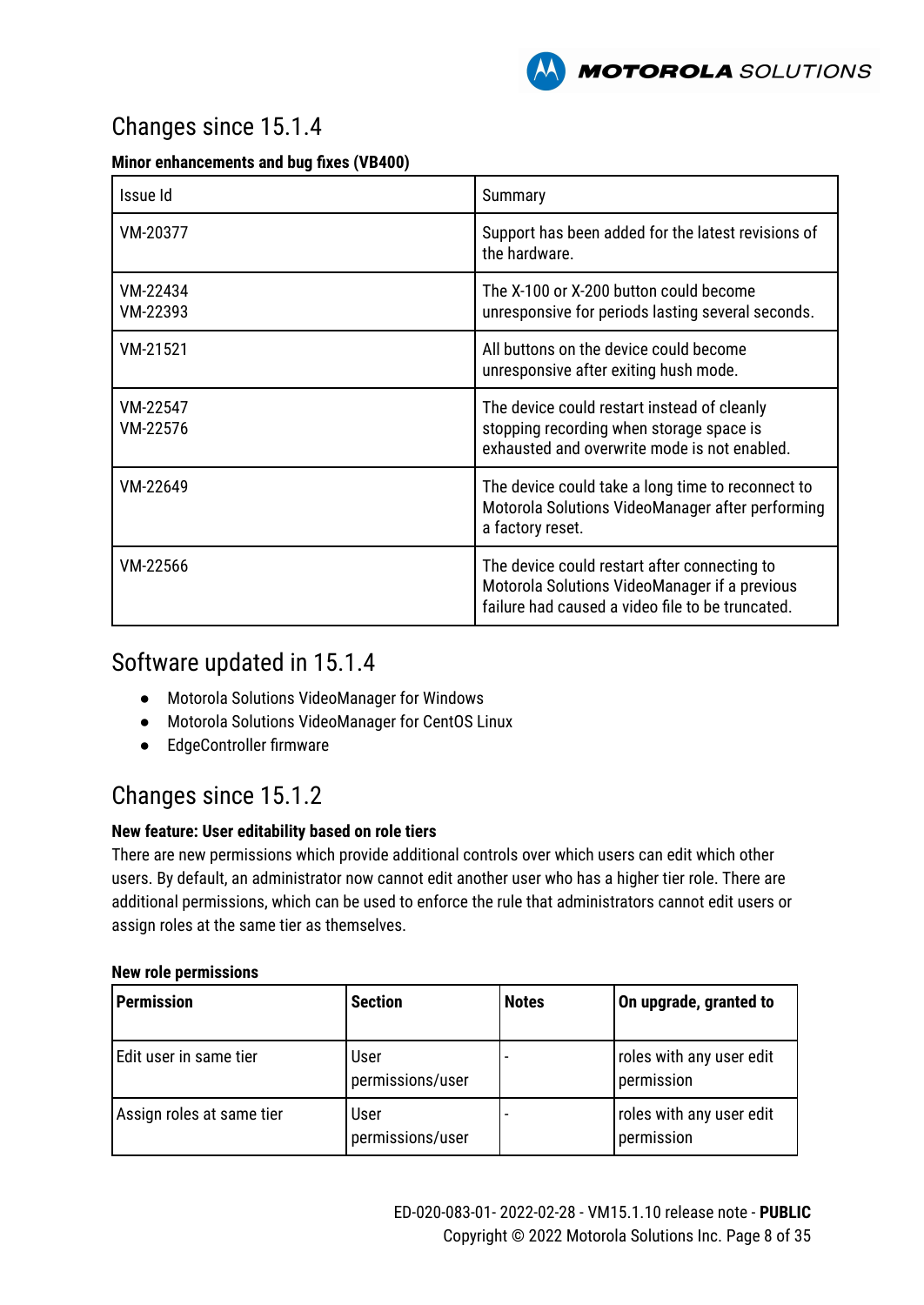

# Changes since 15.1.4

#### **Minor enhancements and bug fixes (VB400)**

| Issue Id             | Summary                                                                                                                                           |
|----------------------|---------------------------------------------------------------------------------------------------------------------------------------------------|
| VM-20377             | Support has been added for the latest revisions of<br>the hardware.                                                                               |
| VM-22434<br>VM-22393 | The X-100 or X-200 button could become<br>unresponsive for periods lasting several seconds.                                                       |
| VM-21521             | All buttons on the device could become<br>unresponsive after exiting hush mode.                                                                   |
| VM-22547<br>VM-22576 | The device could restart instead of cleanly<br>stopping recording when storage space is<br>exhausted and overwrite mode is not enabled.           |
| VM-22649             | The device could take a long time to reconnect to<br>Motorola Solutions VideoManager after performing<br>a factory reset.                         |
| VM-22566             | The device could restart after connecting to<br>Motorola Solutions VideoManager if a previous<br>failure had caused a video file to be truncated. |

### Software updated in 15.1.4

- Motorola Solutions VideoManager for Windows
- Motorola Solutions VideoManager for CentOS Linux
- EdgeController firmware

# Changes since 15.1.2

#### **New feature: User editability based on role tiers**

There are new permissions which provide additional controls over which users can edit which other users. By default, an administrator now cannot edit another user who has a higher tier role. There are additional permissions, which can be used to enforce the rule that administrators cannot edit users or assign roles at the same tier as themselves.

#### **New role permissions**

| <b>Permission</b>         | <b>Section</b>           | <b>Notes</b> | On upgrade, granted to                 |
|---------------------------|--------------------------|--------------|----------------------------------------|
| Edit user in same tier    | User<br>permissions/user |              | roles with any user edit<br>permission |
| Assign roles at same tier | User<br>permissions/user |              | roles with any user edit<br>permission |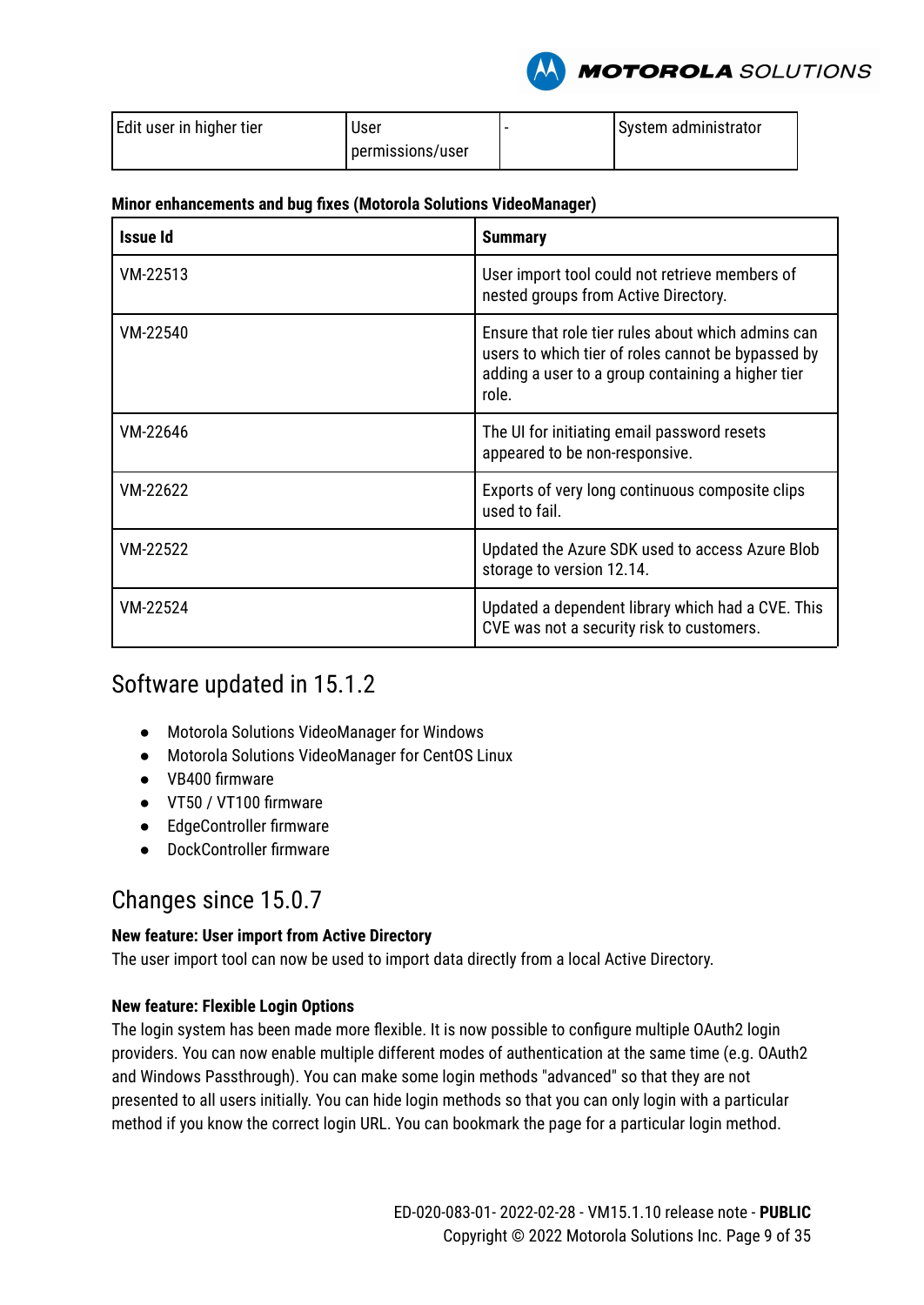

| Edit user in higher tier | User             | System administrator |
|--------------------------|------------------|----------------------|
|                          | permissions/user |                      |

#### **Minor enhancements and bug fixes (Motorola Solutions VideoManager)**

| <b>Issue Id</b> | <b>Summary</b>                                                                                                                                                         |
|-----------------|------------------------------------------------------------------------------------------------------------------------------------------------------------------------|
| VM-22513        | User import tool could not retrieve members of<br>nested groups from Active Directory.                                                                                 |
| VM-22540        | Ensure that role tier rules about which admins can<br>users to which tier of roles cannot be bypassed by<br>adding a user to a group containing a higher tier<br>role. |
| VM-22646        | The UI for initiating email password resets<br>appeared to be non-responsive.                                                                                          |
| VM-22622        | Exports of very long continuous composite clips<br>used to fail.                                                                                                       |
| VM-22522        | Updated the Azure SDK used to access Azure Blob<br>storage to version 12.14.                                                                                           |
| VM-22524        | Updated a dependent library which had a CVE. This<br>CVE was not a security risk to customers.                                                                         |

### Software updated in 15.1.2

- Motorola Solutions VideoManager for Windows
- Motorola Solutions VideoManager for CentOS Linux
- VB400 firmware
- VT50 / VT100 firmware
- EdgeController firmware
- DockController firmware

# Changes since 15.0.7

#### **New feature: User import from Active Directory**

The user import tool can now be used to import data directly from a local Active Directory.

#### **New feature: Flexible Login Options**

The login system has been made more flexible. It is now possible to configure multiple OAuth2 login providers. You can now enable multiple different modes of authentication at the same time (e.g. OAuth2 and Windows Passthrough). You can make some login methods "advanced" so that they are not presented to all users initially. You can hide login methods so that you can only login with a particular method if you know the correct login URL. You can bookmark the page for a particular login method.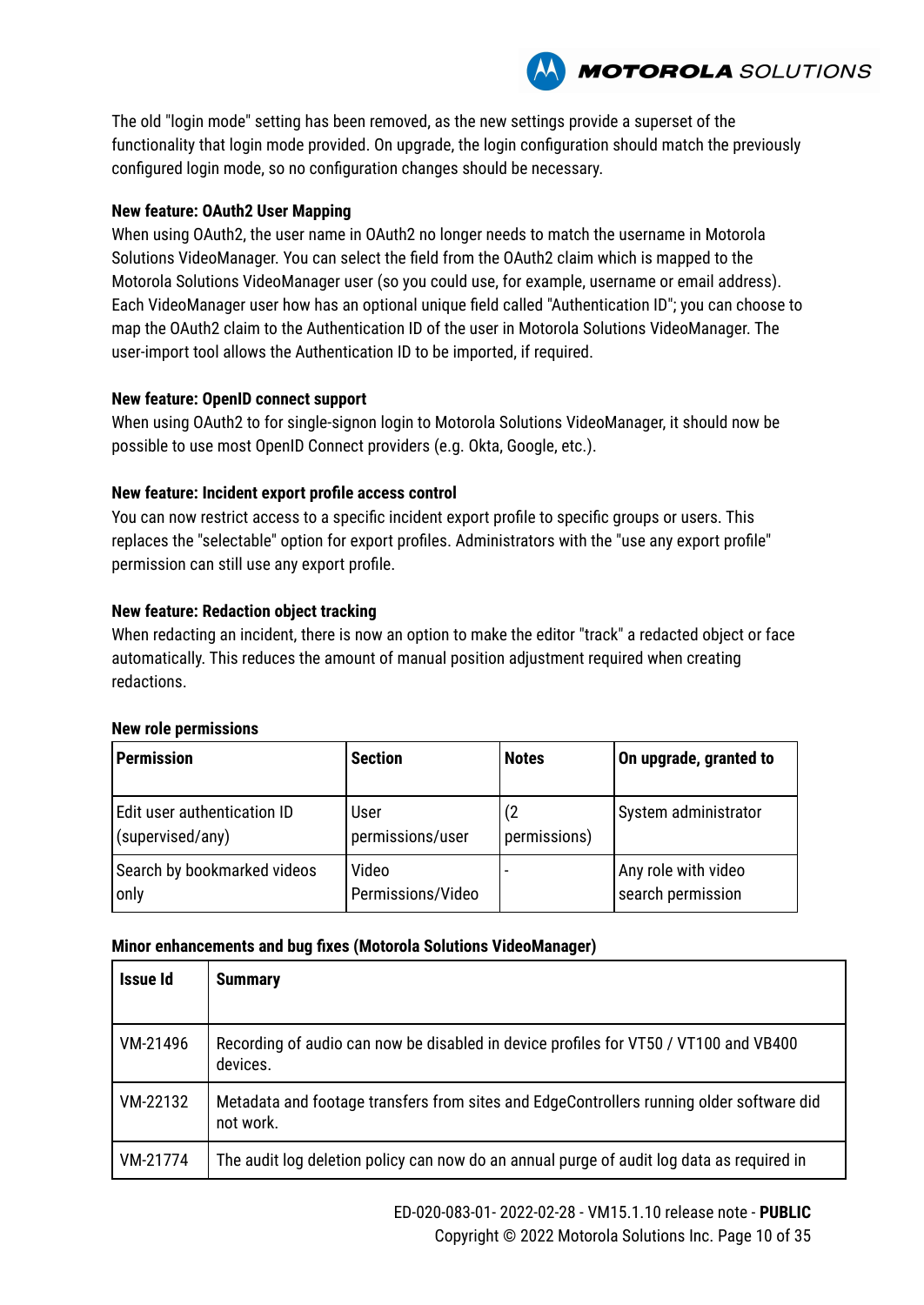**MOTOROLA** SOLUTIONS

The old "login mode" setting has been removed, as the new settings provide a superset of the functionality that login mode provided. On upgrade, the login configuration should match the previously configured login mode, so no configuration changes should be necessary.

#### **New feature: OAuth2 User Mapping**

When using OAuth2, the user name in OAuth2 no longer needs to match the username in Motorola Solutions VideoManager. You can select the field from the OAuth2 claim which is mapped to the Motorola Solutions VideoManager user (so you could use, for example, username or email address). Each VideoManager user how has an optional unique field called "Authentication ID"; you can choose to map the OAuth2 claim to the Authentication ID of the user in Motorola Solutions VideoManager. The user-import tool allows the Authentication ID to be imported, if required.

#### **New feature: OpenID connect support**

When using OAuth2 to for single-signon login to Motorola Solutions VideoManager, it should now be possible to use most OpenID Connect providers (e.g. Okta, Google, etc.).

#### **New feature: Incident export profile access control**

You can now restrict access to a specific incident export profile to specific groups or users. This replaces the "selectable" option for export profiles. Administrators with the "use any export profile" permission can still use any export profile.

#### **New feature: Redaction object tracking**

When redacting an incident, there is now an option to make the editor "track" a redacted object or face automatically. This reduces the amount of manual position adjustment required when creating redactions.

#### **New role permissions**

| <b>Permission</b>           | <b>Section</b>    | <b>Notes</b> | On upgrade, granted to |
|-----------------------------|-------------------|--------------|------------------------|
| Edit user authentication ID | User              | (2)          | System administrator   |
| (supervised/any)            | permissions/user  | permissions) |                        |
| Search by bookmarked videos | Video             |              | Any role with video    |
| only                        | Permissions/Video |              | search permission      |

| Issue Id | <b>Summary</b>                                                                                        |
|----------|-------------------------------------------------------------------------------------------------------|
| VM-21496 | Recording of audio can now be disabled in device profiles for VT50 / VT100 and VB400<br>devices.      |
| VM-22132 | Metadata and footage transfers from sites and EdgeControllers running older software did<br>not work. |
| VM-21774 | The audit log deletion policy can now do an annual purge of audit log data as required in             |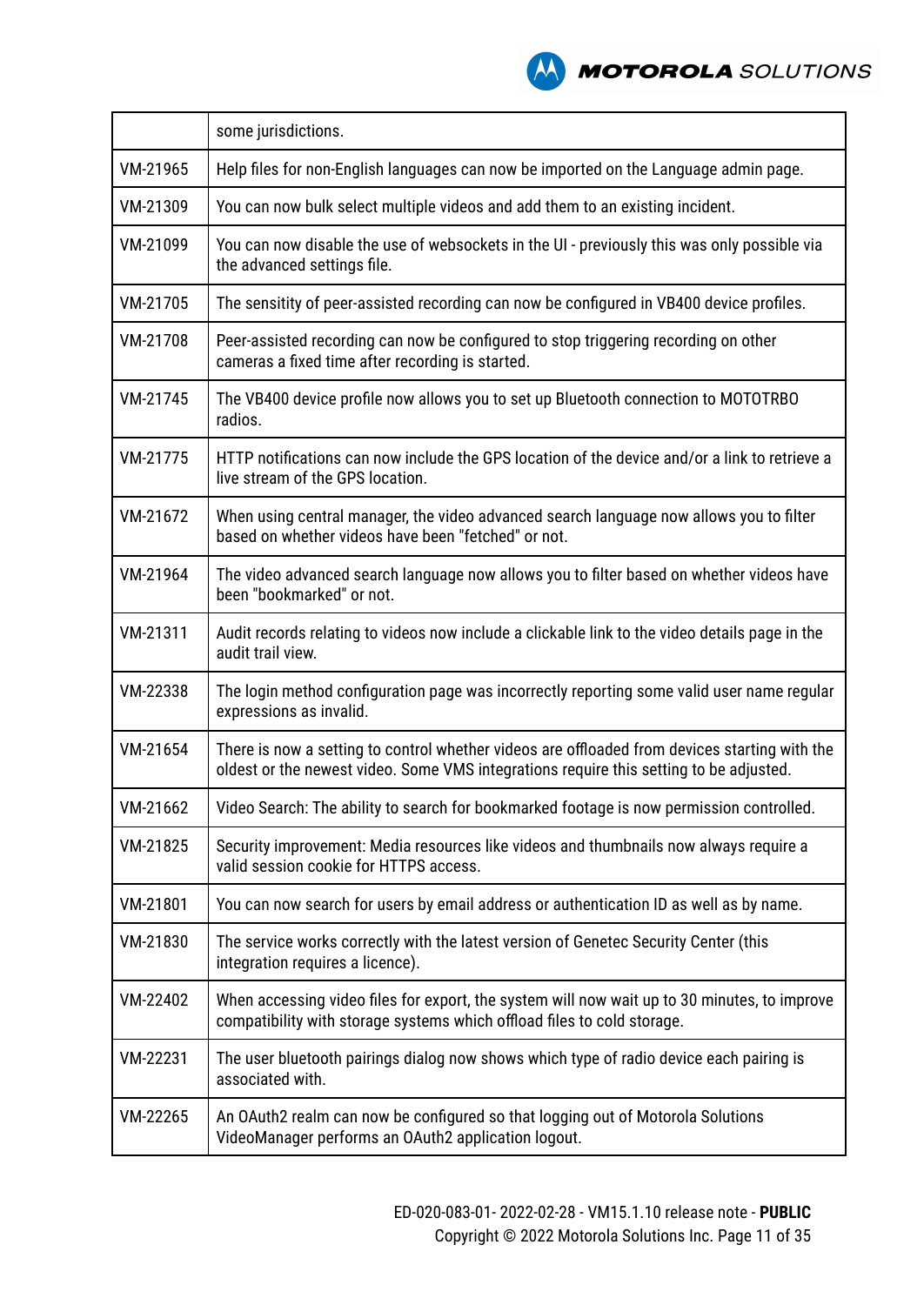

|          | some jurisdictions.                                                                                                                                                                     |
|----------|-----------------------------------------------------------------------------------------------------------------------------------------------------------------------------------------|
| VM-21965 | Help files for non-English languages can now be imported on the Language admin page.                                                                                                    |
| VM-21309 | You can now bulk select multiple videos and add them to an existing incident.                                                                                                           |
| VM-21099 | You can now disable the use of websockets in the UI - previously this was only possible via<br>the advanced settings file.                                                              |
| VM-21705 | The sensitity of peer-assisted recording can now be configured in VB400 device profiles.                                                                                                |
| VM-21708 | Peer-assisted recording can now be configured to stop triggering recording on other<br>cameras a fixed time after recording is started.                                                 |
| VM-21745 | The VB400 device profile now allows you to set up Bluetooth connection to MOTOTRBO<br>radios.                                                                                           |
| VM-21775 | HTTP notifications can now include the GPS location of the device and/or a link to retrieve a<br>live stream of the GPS location.                                                       |
| VM-21672 | When using central manager, the video advanced search language now allows you to filter<br>based on whether videos have been "fetched" or not.                                          |
| VM-21964 | The video advanced search language now allows you to filter based on whether videos have<br>been "bookmarked" or not.                                                                   |
| VM-21311 | Audit records relating to videos now include a clickable link to the video details page in the<br>audit trail view.                                                                     |
| VM-22338 | The login method configuration page was incorrectly reporting some valid user name regular<br>expressions as invalid.                                                                   |
| VM-21654 | There is now a setting to control whether videos are offloaded from devices starting with the<br>oldest or the newest video. Some VMS integrations require this setting to be adjusted. |
| VM-21662 | Video Search: The ability to search for bookmarked footage is now permission controlled.                                                                                                |
| VM-21825 | Security improvement: Media resources like videos and thumbnails now always require a<br>valid session cookie for HTTPS access.                                                         |
| VM-21801 | You can now search for users by email address or authentication ID as well as by name.                                                                                                  |
| VM-21830 | The service works correctly with the latest version of Genetec Security Center (this<br>integration requires a licence).                                                                |
| VM-22402 | When accessing video files for export, the system will now wait up to 30 minutes, to improve<br>compatibility with storage systems which offload files to cold storage.                 |
| VM-22231 | The user bluetooth pairings dialog now shows which type of radio device each pairing is<br>associated with.                                                                             |
| VM-22265 | An OAuth2 realm can now be configured so that logging out of Motorola Solutions<br>VideoManager performs an OAuth2 application logout.                                                  |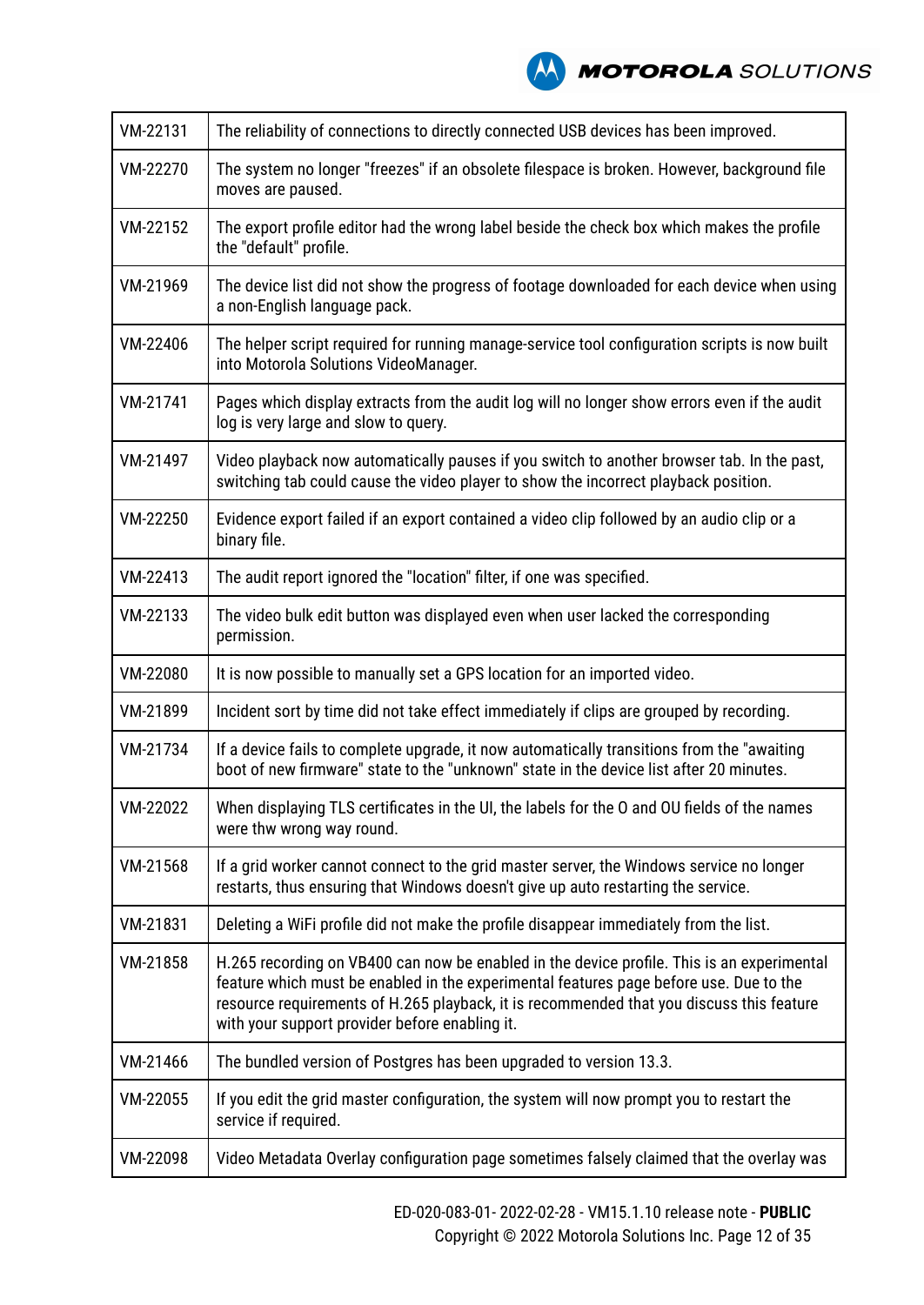

| VM-22131 | The reliability of connections to directly connected USB devices has been improved.                                                                                                                                                                                                                                                |
|----------|------------------------------------------------------------------------------------------------------------------------------------------------------------------------------------------------------------------------------------------------------------------------------------------------------------------------------------|
| VM-22270 | The system no longer "freezes" if an obsolete filespace is broken. However, background file<br>moves are paused.                                                                                                                                                                                                                   |
| VM-22152 | The export profile editor had the wrong label beside the check box which makes the profile<br>the "default" profile.                                                                                                                                                                                                               |
| VM-21969 | The device list did not show the progress of footage downloaded for each device when using<br>a non-English language pack.                                                                                                                                                                                                         |
| VM-22406 | The helper script required for running manage-service tool configuration scripts is now built<br>into Motorola Solutions VideoManager.                                                                                                                                                                                             |
| VM-21741 | Pages which display extracts from the audit log will no longer show errors even if the audit<br>log is very large and slow to query.                                                                                                                                                                                               |
| VM-21497 | Video playback now automatically pauses if you switch to another browser tab. In the past,<br>switching tab could cause the video player to show the incorrect playback position.                                                                                                                                                  |
| VM-22250 | Evidence export failed if an export contained a video clip followed by an audio clip or a<br>binary file.                                                                                                                                                                                                                          |
| VM-22413 | The audit report ignored the "location" filter, if one was specified.                                                                                                                                                                                                                                                              |
| VM-22133 | The video bulk edit button was displayed even when user lacked the corresponding<br>permission.                                                                                                                                                                                                                                    |
| VM-22080 | It is now possible to manually set a GPS location for an imported video.                                                                                                                                                                                                                                                           |
| VM-21899 | Incident sort by time did not take effect immediately if clips are grouped by recording.                                                                                                                                                                                                                                           |
| VM-21734 | If a device fails to complete upgrade, it now automatically transitions from the "awaiting"<br>boot of new firmware" state to the "unknown" state in the device list after 20 minutes.                                                                                                                                             |
| VM-22022 | When displaying TLS certificates in the UI, the labels for the O and OU fields of the names<br>were thw wrong way round.                                                                                                                                                                                                           |
| VM-21568 | If a grid worker cannot connect to the grid master server, the Windows service no longer<br>restarts, thus ensuring that Windows doesn't give up auto restarting the service.                                                                                                                                                      |
| VM-21831 | Deleting a WiFi profile did not make the profile disappear immediately from the list.                                                                                                                                                                                                                                              |
| VM-21858 | H.265 recording on VB400 can now be enabled in the device profile. This is an experimental<br>feature which must be enabled in the experimental features page before use. Due to the<br>resource requirements of H.265 playback, it is recommended that you discuss this feature<br>with your support provider before enabling it. |
| VM-21466 | The bundled version of Postgres has been upgraded to version 13.3.                                                                                                                                                                                                                                                                 |
| VM-22055 | If you edit the grid master configuration, the system will now prompt you to restart the<br>service if required.                                                                                                                                                                                                                   |
| VM-22098 | Video Metadata Overlay configuration page sometimes falsely claimed that the overlay was                                                                                                                                                                                                                                           |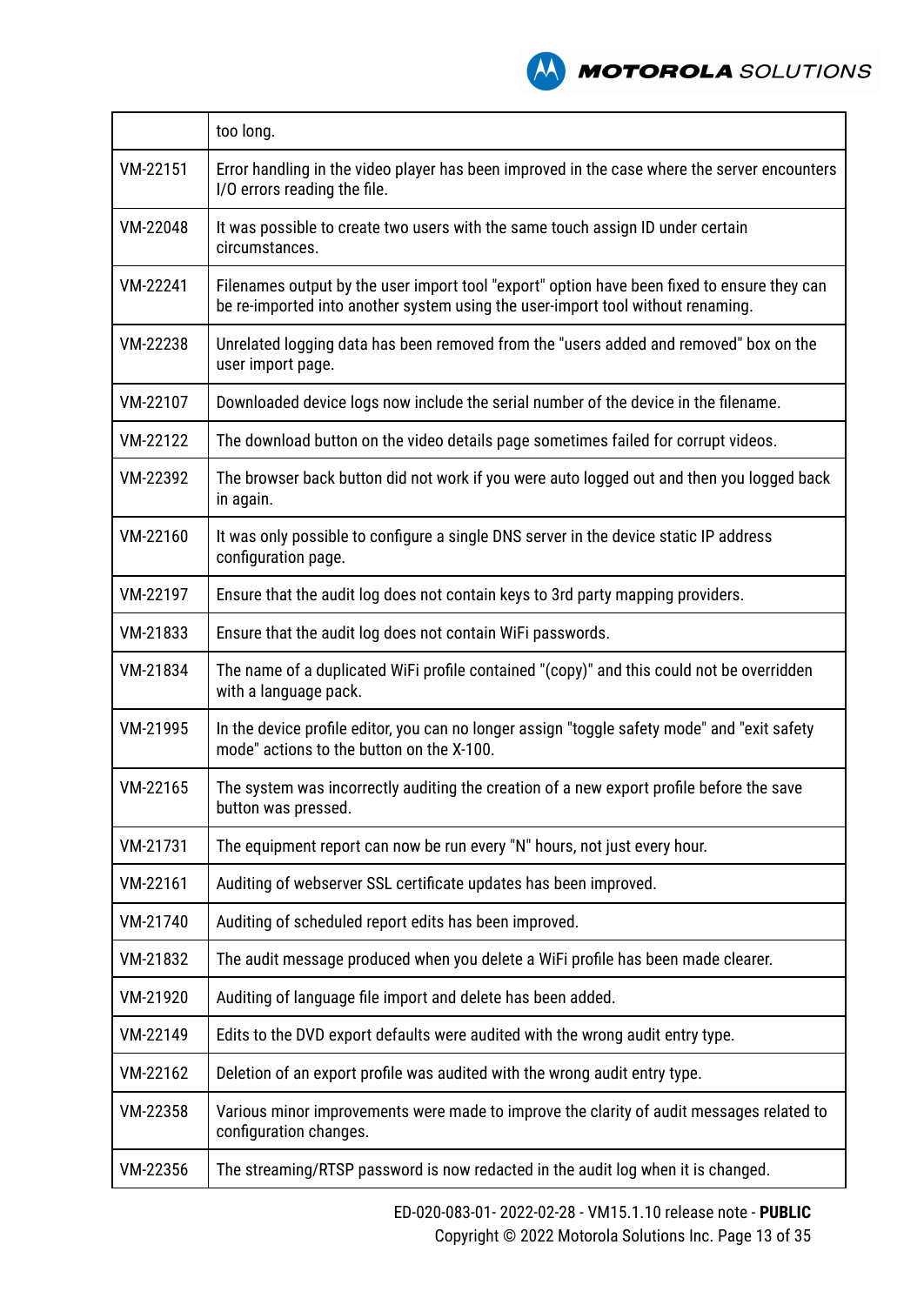

|          | too long.                                                                                                                                                                      |
|----------|--------------------------------------------------------------------------------------------------------------------------------------------------------------------------------|
| VM-22151 | Error handling in the video player has been improved in the case where the server encounters<br>I/O errors reading the file.                                                   |
| VM-22048 | It was possible to create two users with the same touch assign ID under certain<br>circumstances.                                                                              |
| VM-22241 | Filenames output by the user import tool "export" option have been fixed to ensure they can<br>be re-imported into another system using the user-import tool without renaming. |
| VM-22238 | Unrelated logging data has been removed from the "users added and removed" box on the<br>user import page.                                                                     |
| VM-22107 | Downloaded device logs now include the serial number of the device in the filename.                                                                                            |
| VM-22122 | The download button on the video details page sometimes failed for corrupt videos.                                                                                             |
| VM-22392 | The browser back button did not work if you were auto logged out and then you logged back<br>in again.                                                                         |
| VM-22160 | It was only possible to configure a single DNS server in the device static IP address<br>configuration page.                                                                   |
| VM-22197 | Ensure that the audit log does not contain keys to 3rd party mapping providers.                                                                                                |
| VM-21833 | Ensure that the audit log does not contain WiFi passwords.                                                                                                                     |
| VM-21834 | The name of a duplicated WiFi profile contained "(copy)" and this could not be overridden<br>with a language pack.                                                             |
| VM-21995 | In the device profile editor, you can no longer assign "toggle safety mode" and "exit safety<br>mode" actions to the button on the X-100.                                      |
| VM-22165 | The system was incorrectly auditing the creation of a new export profile before the save<br>button was pressed.                                                                |
| VM-21731 | The equipment report can now be run every "N" hours, not just every hour.                                                                                                      |
| VM-22161 | Auditing of webserver SSL certificate updates has been improved.                                                                                                               |
| VM-21740 | Auditing of scheduled report edits has been improved.                                                                                                                          |
| VM-21832 | The audit message produced when you delete a WiFi profile has been made clearer.                                                                                               |
| VM-21920 | Auditing of language file import and delete has been added.                                                                                                                    |
| VM-22149 | Edits to the DVD export defaults were audited with the wrong audit entry type.                                                                                                 |
| VM-22162 | Deletion of an export profile was audited with the wrong audit entry type.                                                                                                     |
| VM-22358 | Various minor improvements were made to improve the clarity of audit messages related to<br>configuration changes.                                                             |
| VM-22356 | The streaming/RTSP password is now redacted in the audit log when it is changed.                                                                                               |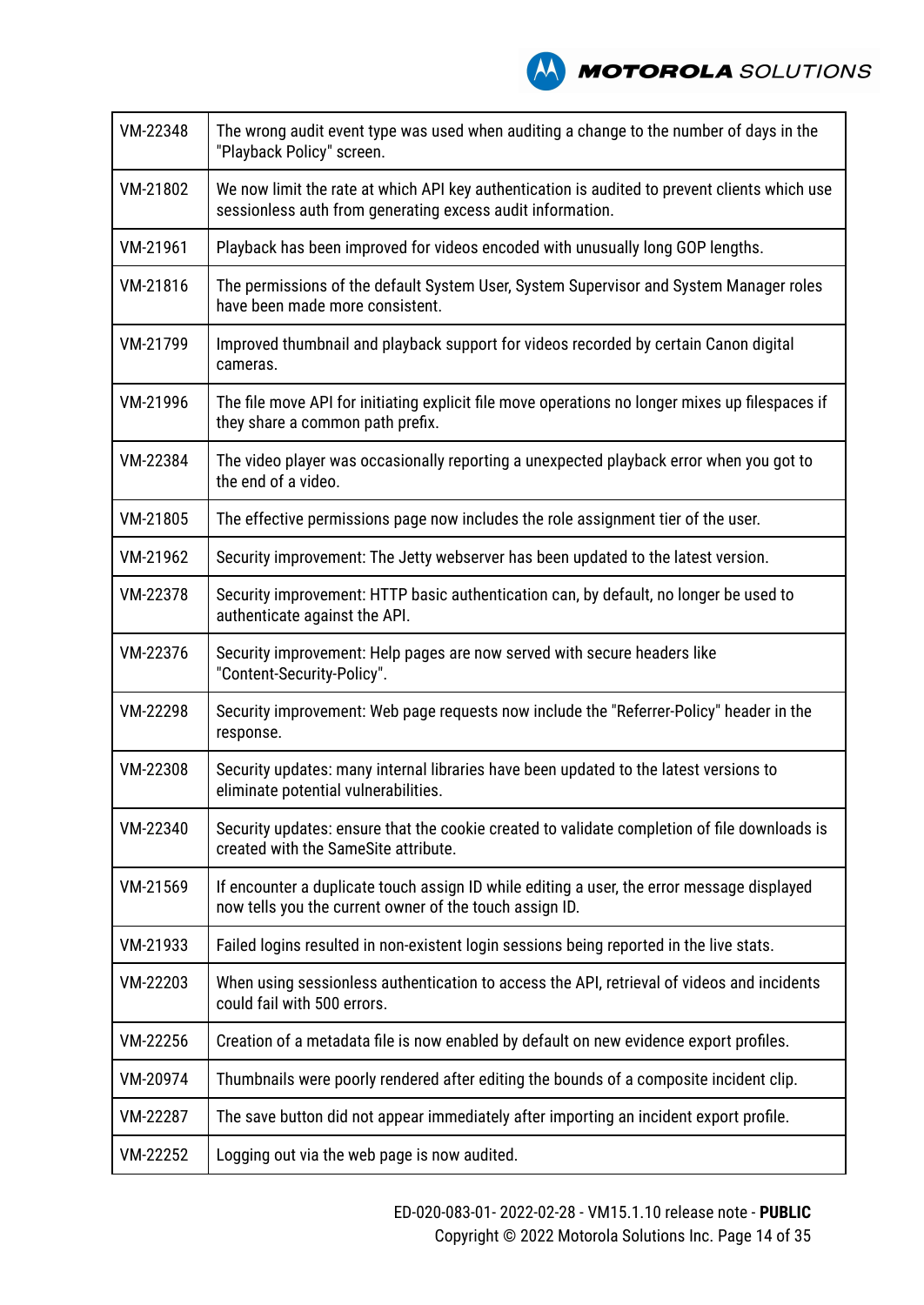

| VM-22348 | The wrong audit event type was used when auditing a change to the number of days in the<br>"Playback Policy" screen.                                        |
|----------|-------------------------------------------------------------------------------------------------------------------------------------------------------------|
| VM-21802 | We now limit the rate at which API key authentication is audited to prevent clients which use<br>sessionless auth from generating excess audit information. |
| VM-21961 | Playback has been improved for videos encoded with unusually long GOP lengths.                                                                              |
| VM-21816 | The permissions of the default System User, System Supervisor and System Manager roles<br>have been made more consistent.                                   |
| VM-21799 | Improved thumbnail and playback support for videos recorded by certain Canon digital<br>cameras.                                                            |
| VM-21996 | The file move API for initiating explicit file move operations no longer mixes up filespaces if<br>they share a common path prefix.                         |
| VM-22384 | The video player was occasionally reporting a unexpected playback error when you got to<br>the end of a video.                                              |
| VM-21805 | The effective permissions page now includes the role assignment tier of the user.                                                                           |
| VM-21962 | Security improvement: The Jetty webserver has been updated to the latest version.                                                                           |
| VM-22378 | Security improvement: HTTP basic authentication can, by default, no longer be used to<br>authenticate against the API.                                      |
| VM-22376 | Security improvement: Help pages are now served with secure headers like<br>"Content-Security-Policy".                                                      |
| VM-22298 | Security improvement: Web page requests now include the "Referrer-Policy" header in the<br>response.                                                        |
| VM-22308 | Security updates: many internal libraries have been updated to the latest versions to<br>eliminate potential vulnerabilities.                               |
| VM-22340 | Security updates: ensure that the cookie created to validate completion of file downloads is<br>created with the SameSite attribute.                        |
| VM-21569 | If encounter a duplicate touch assign ID while editing a user, the error message displayed<br>now tells you the current owner of the touch assign ID.       |
| VM-21933 | Failed logins resulted in non-existent login sessions being reported in the live stats.                                                                     |
| VM-22203 | When using sessionless authentication to access the API, retrieval of videos and incidents<br>could fail with 500 errors.                                   |
| VM-22256 | Creation of a metadata file is now enabled by default on new evidence export profiles.                                                                      |
| VM-20974 | Thumbnails were poorly rendered after editing the bounds of a composite incident clip.                                                                      |
| VM-22287 | The save button did not appear immediately after importing an incident export profile.                                                                      |
| VM-22252 | Logging out via the web page is now audited.                                                                                                                |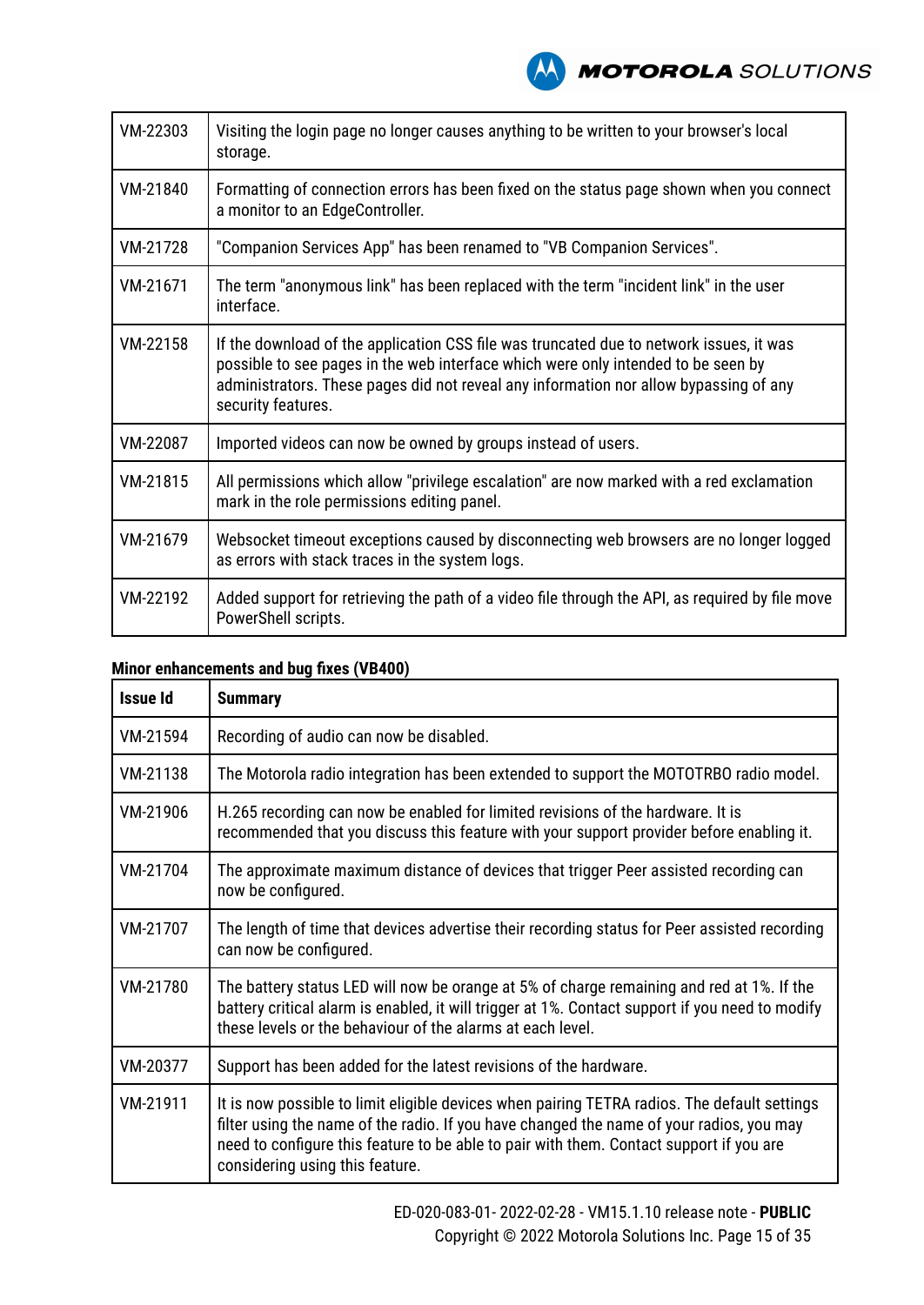**MOTOROLA** SOLUTIONS

| VM-22303 | Visiting the login page no longer causes anything to be written to your browser's local<br>storage.                                                                                                                                                                                         |
|----------|---------------------------------------------------------------------------------------------------------------------------------------------------------------------------------------------------------------------------------------------------------------------------------------------|
| VM-21840 | Formatting of connection errors has been fixed on the status page shown when you connect<br>a monitor to an EdgeController.                                                                                                                                                                 |
| VM-21728 | "Companion Services App" has been renamed to "VB Companion Services".                                                                                                                                                                                                                       |
| VM-21671 | The term "anonymous link" has been replaced with the term "incident link" in the user<br>interface.                                                                                                                                                                                         |
| VM-22158 | If the download of the application CSS file was truncated due to network issues, it was<br>possible to see pages in the web interface which were only intended to be seen by<br>administrators. These pages did not reveal any information nor allow bypassing of any<br>security features. |
| VM-22087 | Imported videos can now be owned by groups instead of users.                                                                                                                                                                                                                                |
| VM-21815 | All permissions which allow "privilege escalation" are now marked with a red exclamation<br>mark in the role permissions editing panel.                                                                                                                                                     |
| VM-21679 | Websocket timeout exceptions caused by disconnecting web browsers are no longer logged<br>as errors with stack traces in the system logs.                                                                                                                                                   |
| VM-22192 | Added support for retrieving the path of a video file through the API, as required by file move<br>PowerShell scripts.                                                                                                                                                                      |

| <b>Issue Id</b> | <b>Summary</b>                                                                                                                                                                                                                                                                                                         |
|-----------------|------------------------------------------------------------------------------------------------------------------------------------------------------------------------------------------------------------------------------------------------------------------------------------------------------------------------|
| VM-21594        | Recording of audio can now be disabled.                                                                                                                                                                                                                                                                                |
| VM-21138        | The Motorola radio integration has been extended to support the MOTOTRBO radio model.                                                                                                                                                                                                                                  |
| VM-21906        | H.265 recording can now be enabled for limited revisions of the hardware. It is<br>recommended that you discuss this feature with your support provider before enabling it.                                                                                                                                            |
| VM-21704        | The approximate maximum distance of devices that trigger Peer assisted recording can<br>now be configured.                                                                                                                                                                                                             |
| VM-21707        | The length of time that devices advertise their recording status for Peer assisted recording<br>can now be configured.                                                                                                                                                                                                 |
| VM-21780        | The battery status LED will now be orange at 5% of charge remaining and red at 1%. If the<br>battery critical alarm is enabled, it will trigger at 1%. Contact support if you need to modify<br>these levels or the behaviour of the alarms at each level.                                                             |
| VM-20377        | Support has been added for the latest revisions of the hardware.                                                                                                                                                                                                                                                       |
| VM-21911        | It is now possible to limit eligible devices when pairing TETRA radios. The default settings<br>filter using the name of the radio. If you have changed the name of your radios, you may<br>need to configure this feature to be able to pair with them. Contact support if you are<br>considering using this feature. |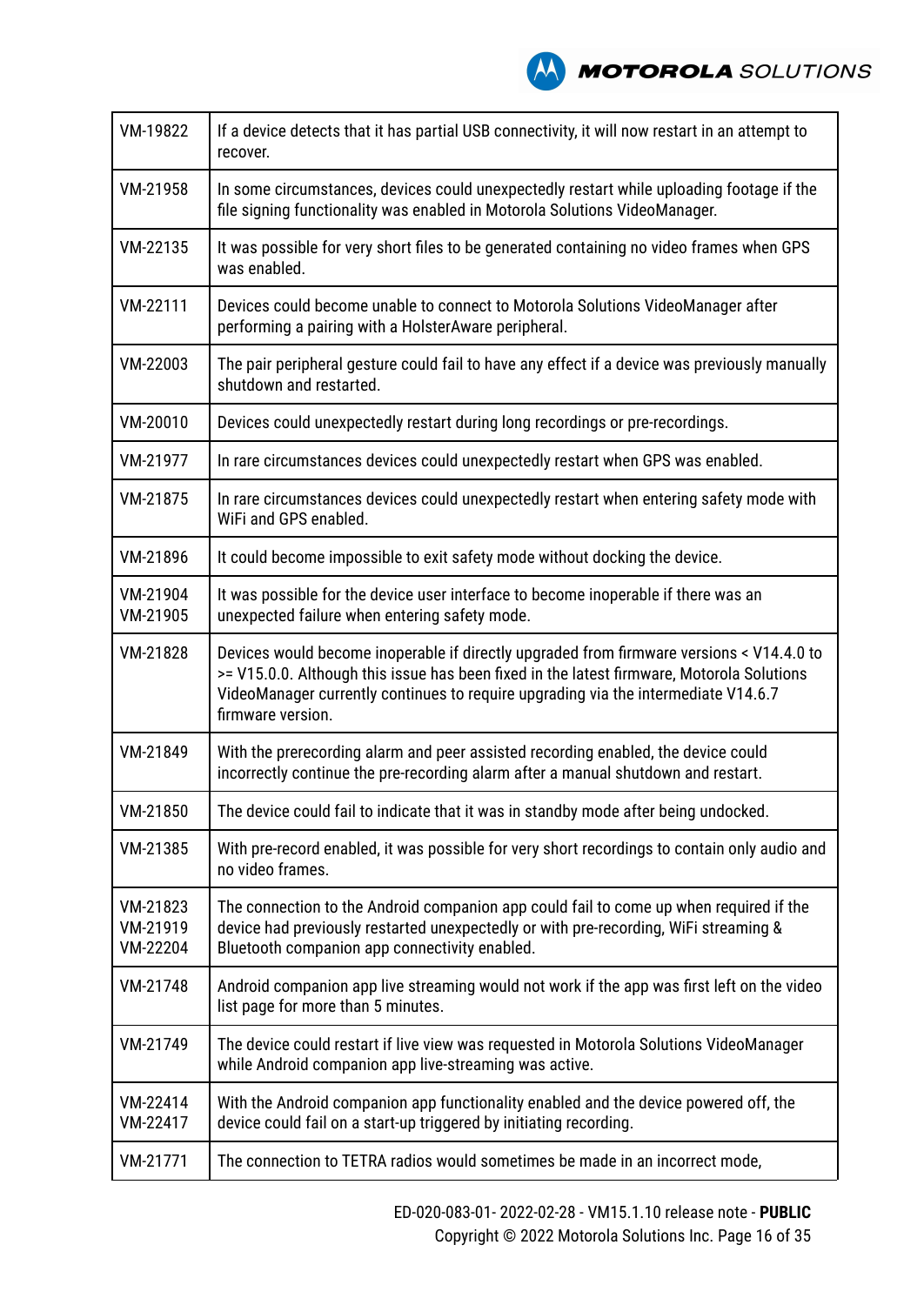

| VM-19822                         | If a device detects that it has partial USB connectivity, it will now restart in an attempt to<br>recover.                                                                                                                                                                                       |
|----------------------------------|--------------------------------------------------------------------------------------------------------------------------------------------------------------------------------------------------------------------------------------------------------------------------------------------------|
| VM-21958                         | In some circumstances, devices could unexpectedly restart while uploading footage if the<br>file signing functionality was enabled in Motorola Solutions VideoManager.                                                                                                                           |
| VM-22135                         | It was possible for very short files to be generated containing no video frames when GPS<br>was enabled.                                                                                                                                                                                         |
| VM-22111                         | Devices could become unable to connect to Motorola Solutions VideoManager after<br>performing a pairing with a HolsterAware peripheral.                                                                                                                                                          |
| VM-22003                         | The pair peripheral gesture could fail to have any effect if a device was previously manually<br>shutdown and restarted.                                                                                                                                                                         |
| VM-20010                         | Devices could unexpectedly restart during long recordings or pre-recordings.                                                                                                                                                                                                                     |
| VM-21977                         | In rare circumstances devices could unexpectedly restart when GPS was enabled.                                                                                                                                                                                                                   |
| VM-21875                         | In rare circumstances devices could unexpectedly restart when entering safety mode with<br>WiFi and GPS enabled.                                                                                                                                                                                 |
| VM-21896                         | It could become impossible to exit safety mode without docking the device.                                                                                                                                                                                                                       |
| VM-21904<br>VM-21905             | It was possible for the device user interface to become inoperable if there was an<br>unexpected failure when entering safety mode.                                                                                                                                                              |
| VM-21828                         | Devices would become inoperable if directly upgraded from firmware versions < V14.4.0 to<br>>= V15.0.0. Although this issue has been fixed in the latest firmware, Motorola Solutions<br>VideoManager currently continues to require upgrading via the intermediate V14.6.7<br>firmware version. |
| VM-21849                         | With the prerecording alarm and peer assisted recording enabled, the device could<br>incorrectly continue the pre-recording alarm after a manual shutdown and restart.                                                                                                                           |
| VM-21850                         | The device could fail to indicate that it was in standby mode after being undocked.                                                                                                                                                                                                              |
| VM-21385                         | With pre-record enabled, it was possible for very short recordings to contain only audio and<br>no video frames.                                                                                                                                                                                 |
| VM-21823<br>VM-21919<br>VM-22204 | The connection to the Android companion app could fail to come up when required if the<br>device had previously restarted unexpectedly or with pre-recording, WiFi streaming &<br>Bluetooth companion app connectivity enabled.                                                                  |
| VM-21748                         | Android companion app live streaming would not work if the app was first left on the video<br>list page for more than 5 minutes.                                                                                                                                                                 |
| VM-21749                         | The device could restart if live view was requested in Motorola Solutions VideoManager<br>while Android companion app live-streaming was active.                                                                                                                                                 |
| VM-22414<br>VM-22417             | With the Android companion app functionality enabled and the device powered off, the<br>device could fail on a start-up triggered by initiating recording.                                                                                                                                       |
| VM-21771                         | The connection to TETRA radios would sometimes be made in an incorrect mode,                                                                                                                                                                                                                     |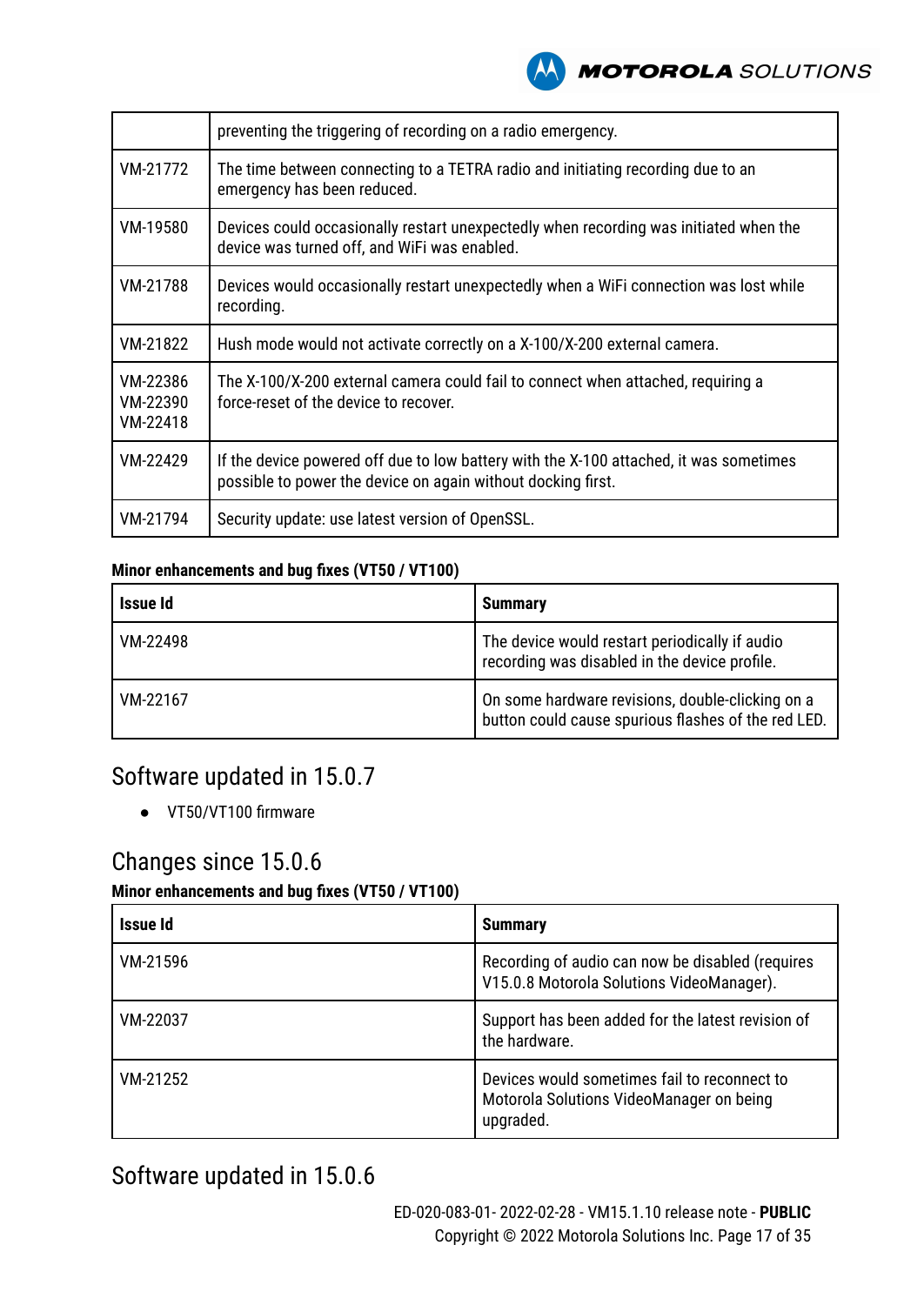

|                                  | preventing the triggering of recording on a radio emergency.                                                                                           |
|----------------------------------|--------------------------------------------------------------------------------------------------------------------------------------------------------|
| VM-21772                         | The time between connecting to a TETRA radio and initiating recording due to an<br>emergency has been reduced.                                         |
| VM-19580                         | Devices could occasionally restart unexpectedly when recording was initiated when the<br>device was turned off, and WiFi was enabled.                  |
| VM-21788                         | Devices would occasionally restart unexpectedly when a WiFi connection was lost while<br>recording.                                                    |
| VM-21822                         | Hush mode would not activate correctly on a X-100/X-200 external camera.                                                                               |
| VM-22386<br>VM-22390<br>VM-22418 | The X-100/X-200 external camera could fail to connect when attached, requiring a<br>force-reset of the device to recover.                              |
| VM-22429                         | If the device powered off due to low battery with the X-100 attached, it was sometimes<br>possible to power the device on again without docking first. |
| VM-21794                         | Security update: use latest version of OpenSSL.                                                                                                        |

#### **Minor enhancements and bug fixes (VT50 / VT100)**

| Issue Id | <b>Summary</b>                                                                                          |
|----------|---------------------------------------------------------------------------------------------------------|
| VM-22498 | The device would restart periodically if audio<br>recording was disabled in the device profile.         |
| VM-22167 | On some hardware revisions, double-clicking on a<br>button could cause spurious flashes of the red LED. |

# Software updated in 15.0.7

● VT50/VT100 firmware

# Changes since 15.0.6

### **Minor enhancements and bug fixes (VT50 / VT100)**

| Issue Id | <b>Summary</b>                                                                                        |
|----------|-------------------------------------------------------------------------------------------------------|
| VM-21596 | Recording of audio can now be disabled (requires<br>V15.0.8 Motorola Solutions VideoManager).         |
| VM-22037 | Support has been added for the latest revision of<br>the hardware.                                    |
| VM-21252 | Devices would sometimes fail to reconnect to<br>Motorola Solutions VideoManager on being<br>upgraded. |

# Software updated in 15.0.6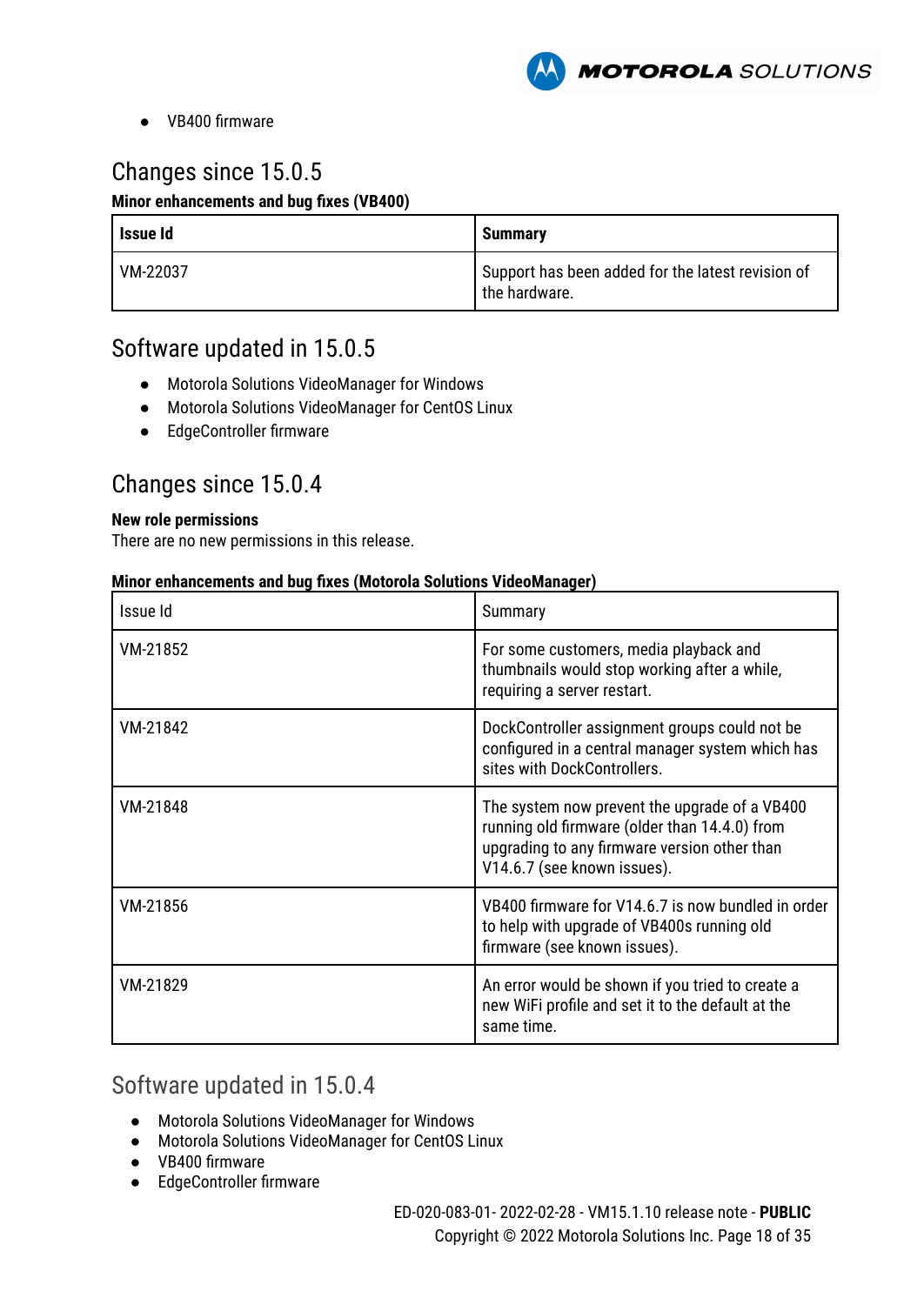

● VB400 firmware

# Changes since 15.0.5

#### **Minor enhancements and bug fixes (VB400)**

| Issue Id | <b>Summarv</b>                                                     |
|----------|--------------------------------------------------------------------|
| VM-22037 | Support has been added for the latest revision of<br>the hardware. |

### Software updated in 15.0.5

- Motorola Solutions VideoManager for Windows
- Motorola Solutions VideoManager for CentOS Linux
- EdgeController firmware

### Changes since 15.0.4

#### **New role permissions**

There are no new permissions in this release.

#### **Minor enhancements and bug fixes (Motorola Solutions VideoManager)**

| Issue Id | Summary                                                                                                                                                                       |
|----------|-------------------------------------------------------------------------------------------------------------------------------------------------------------------------------|
| VM-21852 | For some customers, media playback and<br>thumbnails would stop working after a while,<br>requiring a server restart.                                                         |
| VM-21842 | DockController assignment groups could not be<br>configured in a central manager system which has<br>sites with DockControllers.                                              |
| VM-21848 | The system now prevent the upgrade of a VB400<br>running old firmware (older than 14.4.0) from<br>upgrading to any firmware version other than<br>V14.6.7 (see known issues). |
| VM-21856 | VB400 firmware for V14.6.7 is now bundled in order<br>to help with upgrade of VB400s running old<br>firmware (see known issues).                                              |
| VM-21829 | An error would be shown if you tried to create a<br>new WiFi profile and set it to the default at the<br>same time.                                                           |

### Software updated in 15.0.4

- Motorola Solutions VideoManager for Windows
- Motorola Solutions VideoManager for CentOS Linux
- VB400 firmware
- EdgeController firmware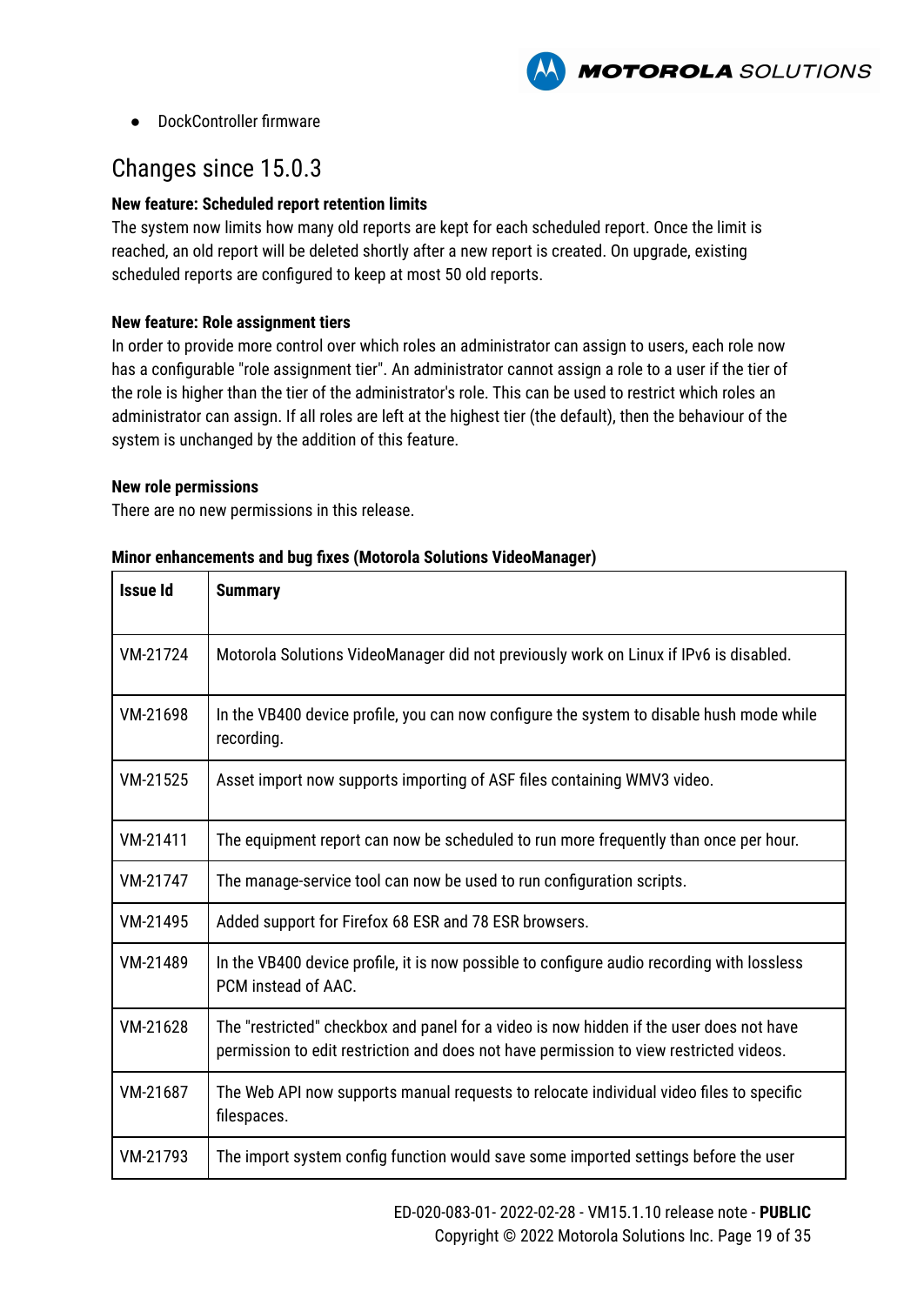

● DockController firmware

# Changes since 15.0.3

#### **New feature: Scheduled report retention limits**

The system now limits how many old reports are kept for each scheduled report. Once the limit is reached, an old report will be deleted shortly after a new report is created. On upgrade, existing scheduled reports are configured to keep at most 50 old reports.

#### **New feature: Role assignment tiers**

In order to provide more control over which roles an administrator can assign to users, each role now has a configurable "role assignment tier". An administrator cannot assign a role to a user if the tier of the role is higher than the tier of the administrator's role. This can be used to restrict which roles an administrator can assign. If all roles are left at the highest tier (the default), then the behaviour of the system is unchanged by the addition of this feature.

#### **New role permissions**

There are no new permissions in this release.

| <b>Issue Id</b> | <b>Summary</b>                                                                                                                                                                    |
|-----------------|-----------------------------------------------------------------------------------------------------------------------------------------------------------------------------------|
| VM-21724        | Motorola Solutions VideoManager did not previously work on Linux if IPv6 is disabled.                                                                                             |
| VM-21698        | In the VB400 device profile, you can now configure the system to disable hush mode while<br>recording.                                                                            |
| VM-21525        | Asset import now supports importing of ASF files containing WMV3 video.                                                                                                           |
| VM-21411        | The equipment report can now be scheduled to run more frequently than once per hour.                                                                                              |
| VM-21747        | The manage-service tool can now be used to run configuration scripts.                                                                                                             |
| VM-21495        | Added support for Firefox 68 ESR and 78 ESR browsers.                                                                                                                             |
| VM-21489        | In the VB400 device profile, it is now possible to configure audio recording with lossless<br>PCM instead of AAC.                                                                 |
| VM-21628        | The "restricted" checkbox and panel for a video is now hidden if the user does not have<br>permission to edit restriction and does not have permission to view restricted videos. |
| VM-21687        | The Web API now supports manual requests to relocate individual video files to specific<br>filespaces.                                                                            |
| VM-21793        | The import system config function would save some imported settings before the user                                                                                               |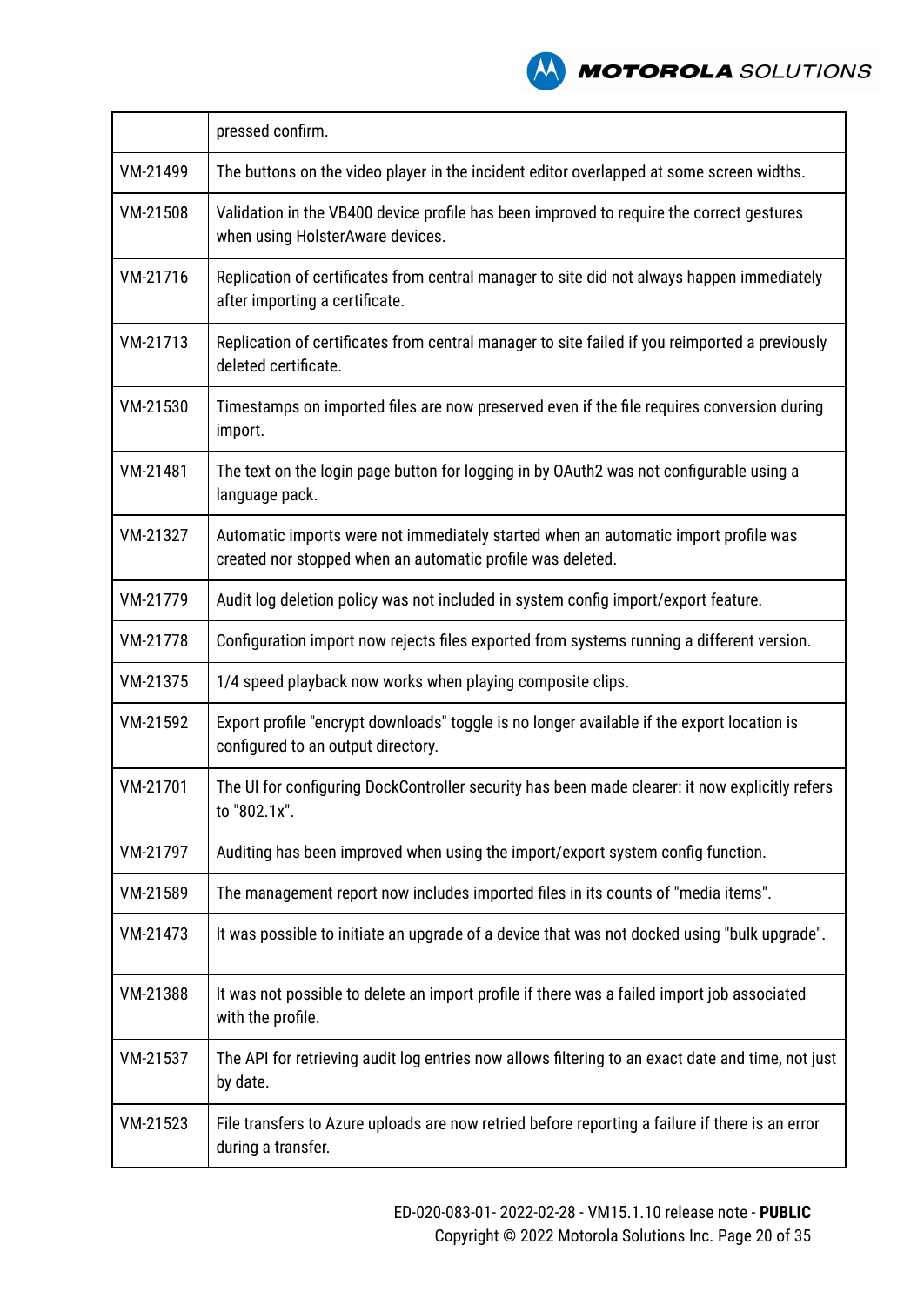

|          | pressed confirm.                                                                                                                                  |
|----------|---------------------------------------------------------------------------------------------------------------------------------------------------|
| VM-21499 | The buttons on the video player in the incident editor overlapped at some screen widths.                                                          |
| VM-21508 | Validation in the VB400 device profile has been improved to require the correct gestures<br>when using HolsterAware devices.                      |
| VM-21716 | Replication of certificates from central manager to site did not always happen immediately<br>after importing a certificate.                      |
| VM-21713 | Replication of certificates from central manager to site failed if you reimported a previously<br>deleted certificate.                            |
| VM-21530 | Timestamps on imported files are now preserved even if the file requires conversion during<br>import.                                             |
| VM-21481 | The text on the login page button for logging in by OAuth2 was not configurable using a<br>language pack.                                         |
| VM-21327 | Automatic imports were not immediately started when an automatic import profile was<br>created nor stopped when an automatic profile was deleted. |
| VM-21779 | Audit log deletion policy was not included in system config import/export feature.                                                                |
| VM-21778 | Configuration import now rejects files exported from systems running a different version.                                                         |
| VM-21375 | 1/4 speed playback now works when playing composite clips.                                                                                        |
| VM-21592 | Export profile "encrypt downloads" toggle is no longer available if the export location is<br>configured to an output directory.                  |
| VM-21701 | The UI for configuring DockController security has been made clearer: it now explicitly refers<br>to "802.1x".                                    |
| VM-21797 | Auditing has been improved when using the import/export system config function.                                                                   |
| VM-21589 | The management report now includes imported files in its counts of "media items".                                                                 |
| VM-21473 | It was possible to initiate an upgrade of a device that was not docked using "bulk upgrade".                                                      |
| VM-21388 | It was not possible to delete an import profile if there was a failed import job associated<br>with the profile.                                  |
| VM-21537 | The API for retrieving audit log entries now allows filtering to an exact date and time, not just<br>by date.                                     |
| VM-21523 | File transfers to Azure uploads are now retried before reporting a failure if there is an error<br>during a transfer.                             |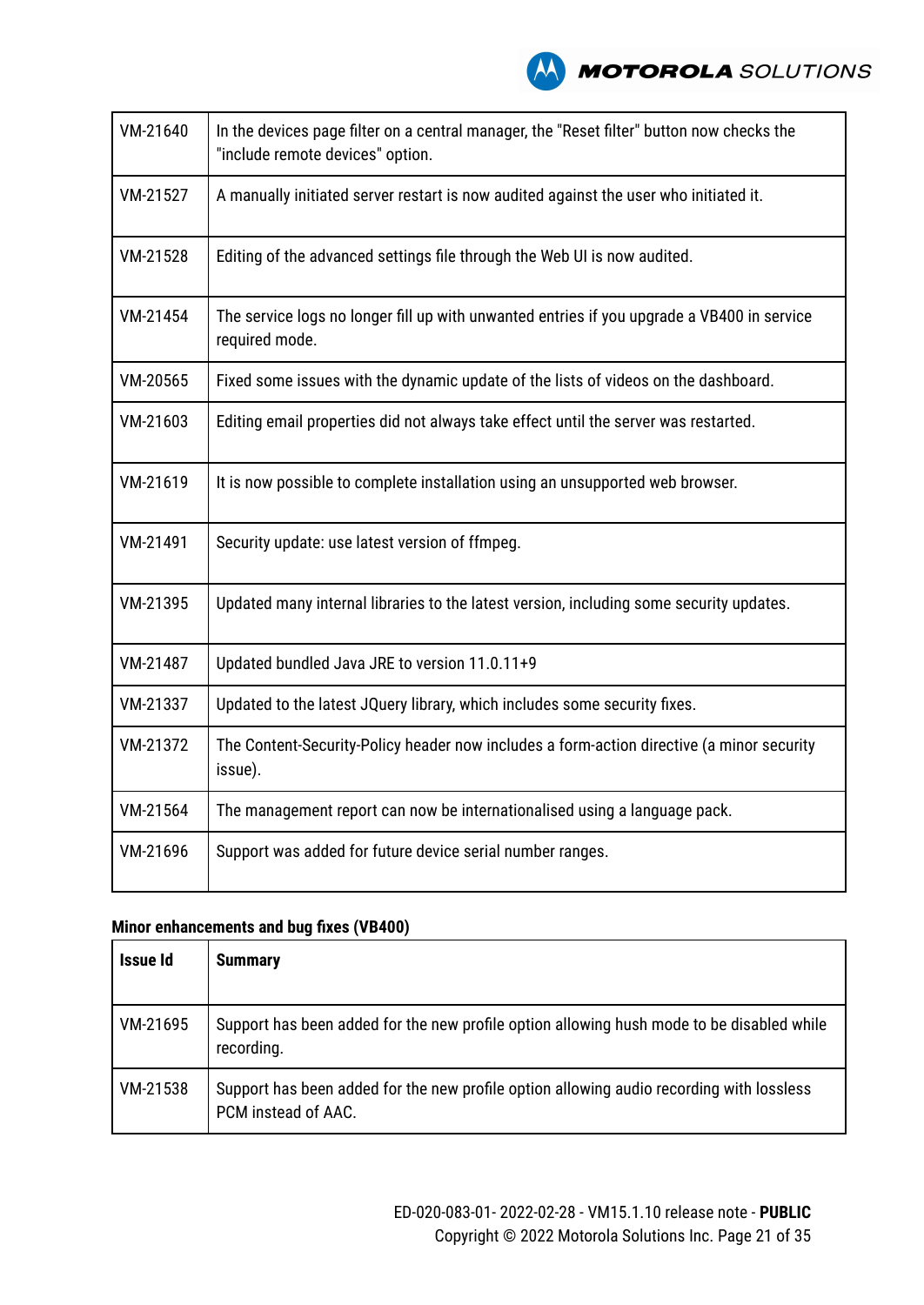

| VM-21640 | In the devices page filter on a central manager, the "Reset filter" button now checks the<br>"include remote devices" option. |
|----------|-------------------------------------------------------------------------------------------------------------------------------|
| VM-21527 | A manually initiated server restart is now audited against the user who initiated it.                                         |
| VM-21528 | Editing of the advanced settings file through the Web UI is now audited.                                                      |
| VM-21454 | The service logs no longer fill up with unwanted entries if you upgrade a VB400 in service<br>required mode.                  |
| VM-20565 | Fixed some issues with the dynamic update of the lists of videos on the dashboard.                                            |
| VM-21603 | Editing email properties did not always take effect until the server was restarted.                                           |
| VM-21619 | It is now possible to complete installation using an unsupported web browser.                                                 |
| VM-21491 | Security update: use latest version of ffmpeg.                                                                                |
| VM-21395 | Updated many internal libraries to the latest version, including some security updates.                                       |
| VM-21487 | Updated bundled Java JRE to version 11.0.11+9                                                                                 |
| VM-21337 | Updated to the latest JQuery library, which includes some security fixes.                                                     |
| VM-21372 | The Content-Security-Policy header now includes a form-action directive (a minor security<br>issue).                          |
| VM-21564 | The management report can now be internationalised using a language pack.                                                     |
| VM-21696 | Support was added for future device serial number ranges.                                                                     |

| Issue Id | <b>Summary</b>                                                                                                  |
|----------|-----------------------------------------------------------------------------------------------------------------|
| VM-21695 | Support has been added for the new profile option allowing hush mode to be disabled while<br>recording.         |
| VM-21538 | Support has been added for the new profile option allowing audio recording with lossless<br>PCM instead of AAC. |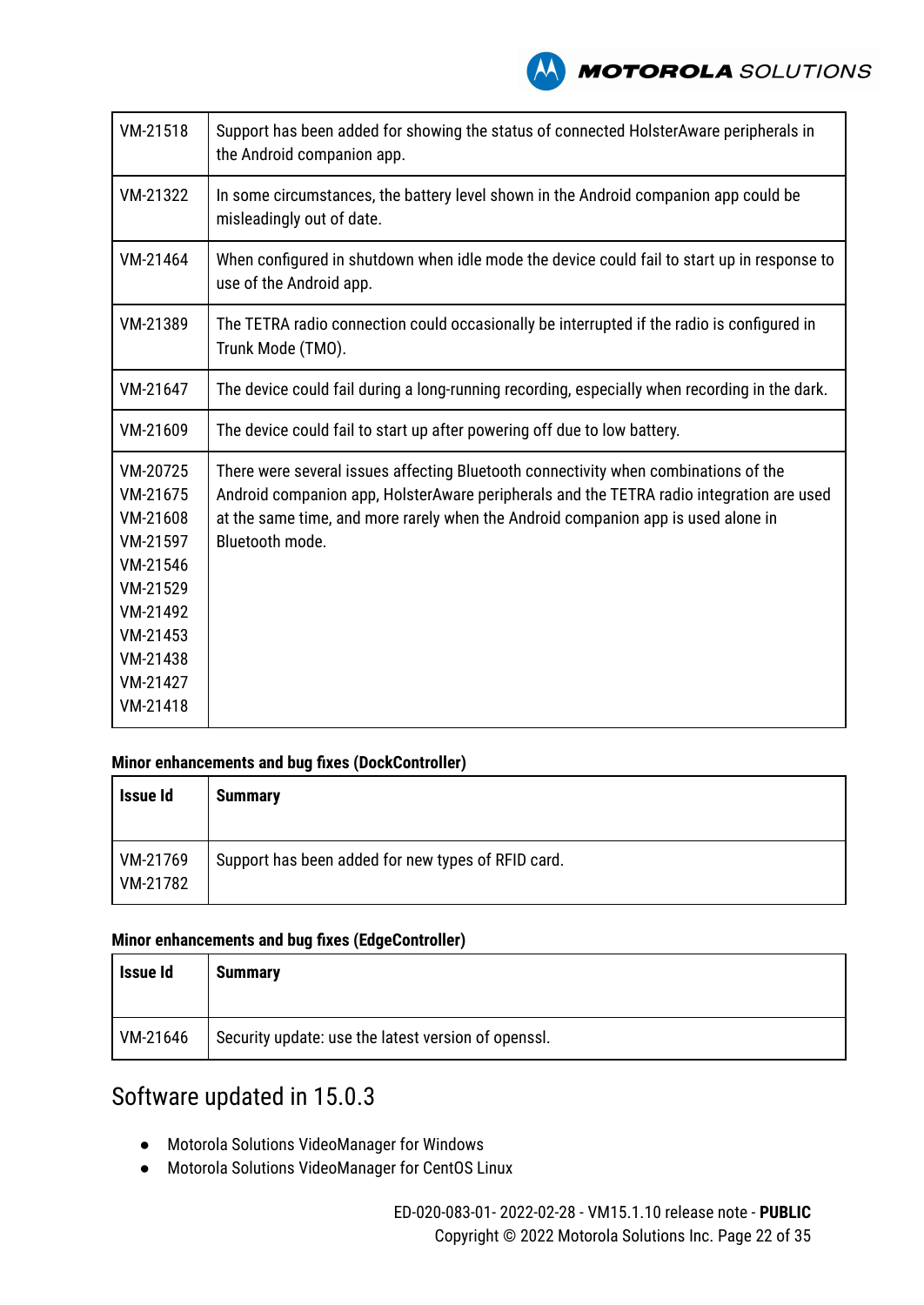

| VM-21518                                                                                                                         | Support has been added for showing the status of connected HolsterAware peripherals in<br>the Android companion app.                                                                                                                                                                    |
|----------------------------------------------------------------------------------------------------------------------------------|-----------------------------------------------------------------------------------------------------------------------------------------------------------------------------------------------------------------------------------------------------------------------------------------|
| VM-21322                                                                                                                         | In some circumstances, the battery level shown in the Android companion app could be<br>misleadingly out of date.                                                                                                                                                                       |
| VM-21464                                                                                                                         | When configured in shutdown when idle mode the device could fail to start up in response to<br>use of the Android app.                                                                                                                                                                  |
| VM-21389                                                                                                                         | The TETRA radio connection could occasionally be interrupted if the radio is configured in<br>Trunk Mode (TMO).                                                                                                                                                                         |
| VM-21647                                                                                                                         | The device could fail during a long-running recording, especially when recording in the dark.                                                                                                                                                                                           |
| VM-21609                                                                                                                         | The device could fail to start up after powering off due to low battery.                                                                                                                                                                                                                |
| VM-20725<br>VM-21675<br>VM-21608<br>VM-21597<br>VM-21546<br>VM-21529<br>VM-21492<br>VM-21453<br>VM-21438<br>VM-21427<br>VM-21418 | There were several issues affecting Bluetooth connectivity when combinations of the<br>Android companion app, HolsterAware peripherals and the TETRA radio integration are used<br>at the same time, and more rarely when the Android companion app is used alone in<br>Bluetooth mode. |

#### **Minor enhancements and bug fixes (DockController)**

| Issue Id             | <b>Summary</b>                                     |
|----------------------|----------------------------------------------------|
| VM-21769<br>VM-21782 | Support has been added for new types of RFID card. |

#### **Minor enhancements and bug fixes (EdgeController)**

| <b>Issue Id</b> | <b>Summary</b>                                      |
|-----------------|-----------------------------------------------------|
| VM-21646        | Security update: use the latest version of openssl. |

# Software updated in 15.0.3

- Motorola Solutions VideoManager for Windows
- Motorola Solutions VideoManager for CentOS Linux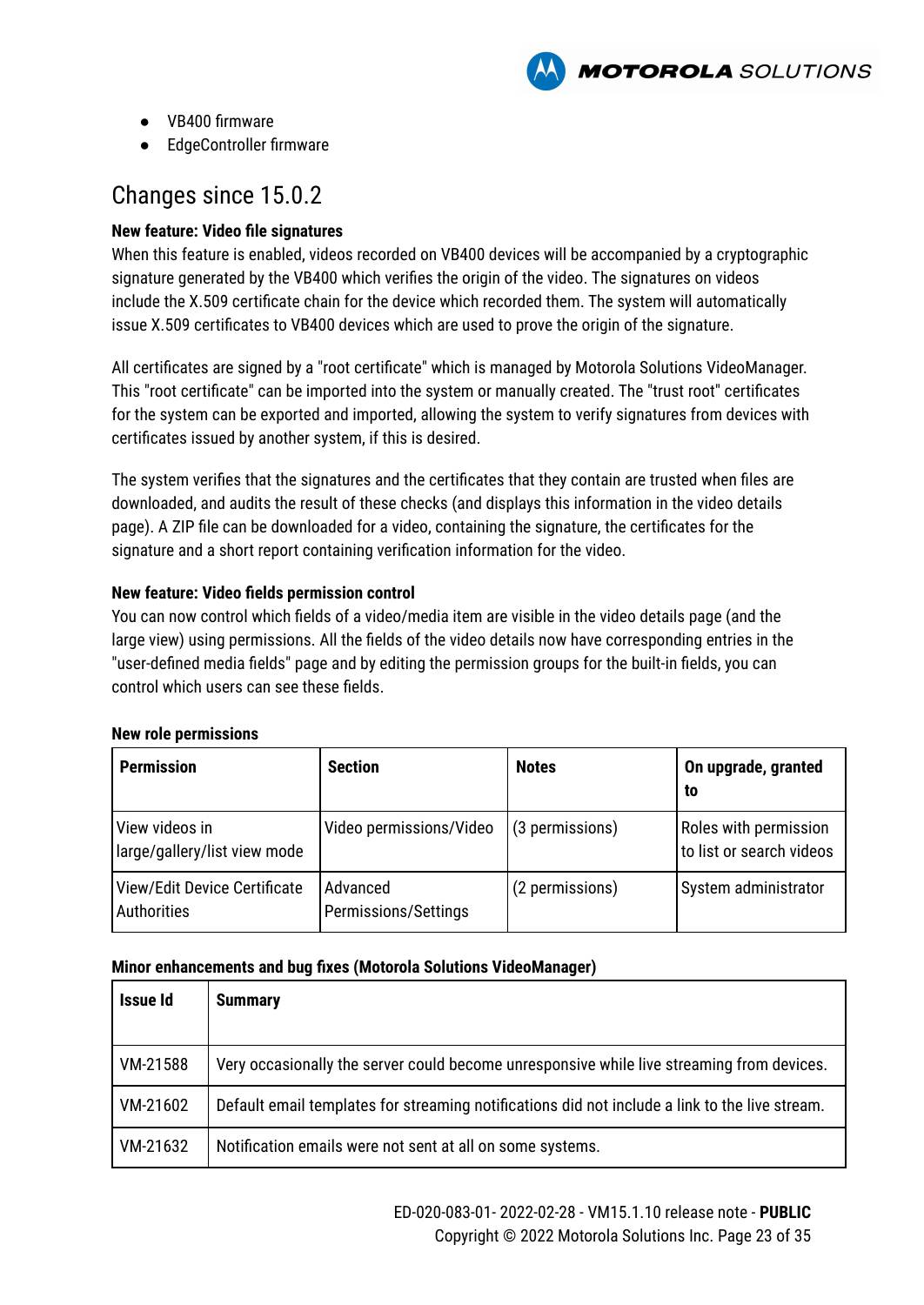

- VB400 firmware
- EdgeController firmware

# Changes since 15.0.2

#### **New feature: Video file signatures**

When this feature is enabled, videos recorded on VB400 devices will be accompanied by a cryptographic signature generated by the VB400 which verifies the origin of the video. The signatures on videos include the X.509 certificate chain for the device which recorded them. The system will automatically issue X.509 certificates to VB400 devices which are used to prove the origin of the signature.

All certificates are signed by a "root certificate" which is managed by Motorola Solutions VideoManager. This "root certificate" can be imported into the system or manually created. The "trust root" certificates for the system can be exported and imported, allowing the system to verify signatures from devices with certificates issued by another system, if this is desired.

The system verifies that the signatures and the certificates that they contain are trusted when files are downloaded, and audits the result of these checks (and displays this information in the video details page). A ZIP file can be downloaded for a video, containing the signature, the certificates for the signature and a short report containing verification information for the video.

#### **New feature: Video fields permission control**

You can now control which fields of a video/media item are visible in the video details page (and the large view) using permissions. All the fields of the video details now have corresponding entries in the "user-defined media fields" page and by editing the permission groups for the built-in fields, you can control which users can see these fields.

#### **New role permissions**

| <b>Permission</b>                              | <b>Section</b>                   | <b>Notes</b>    | On upgrade, granted<br>to                         |
|------------------------------------------------|----------------------------------|-----------------|---------------------------------------------------|
| View videos in<br>large/gallery/list view mode | Video permissions/Video          | (3 permissions) | Roles with permission<br>to list or search videos |
| View/Edit Device Certificate<br>Authorities    | Advanced<br>Permissions/Settings | (2 permissions) | System administrator                              |

| <b>Issue Id</b> | <b>Summary</b>                                                                                 |
|-----------------|------------------------------------------------------------------------------------------------|
| VM-21588        | Very occasionally the server could become unresponsive while live streaming from devices.      |
| VM-21602        | Default email templates for streaming notifications did not include a link to the live stream. |
| VM-21632        | Notification emails were not sent at all on some systems.                                      |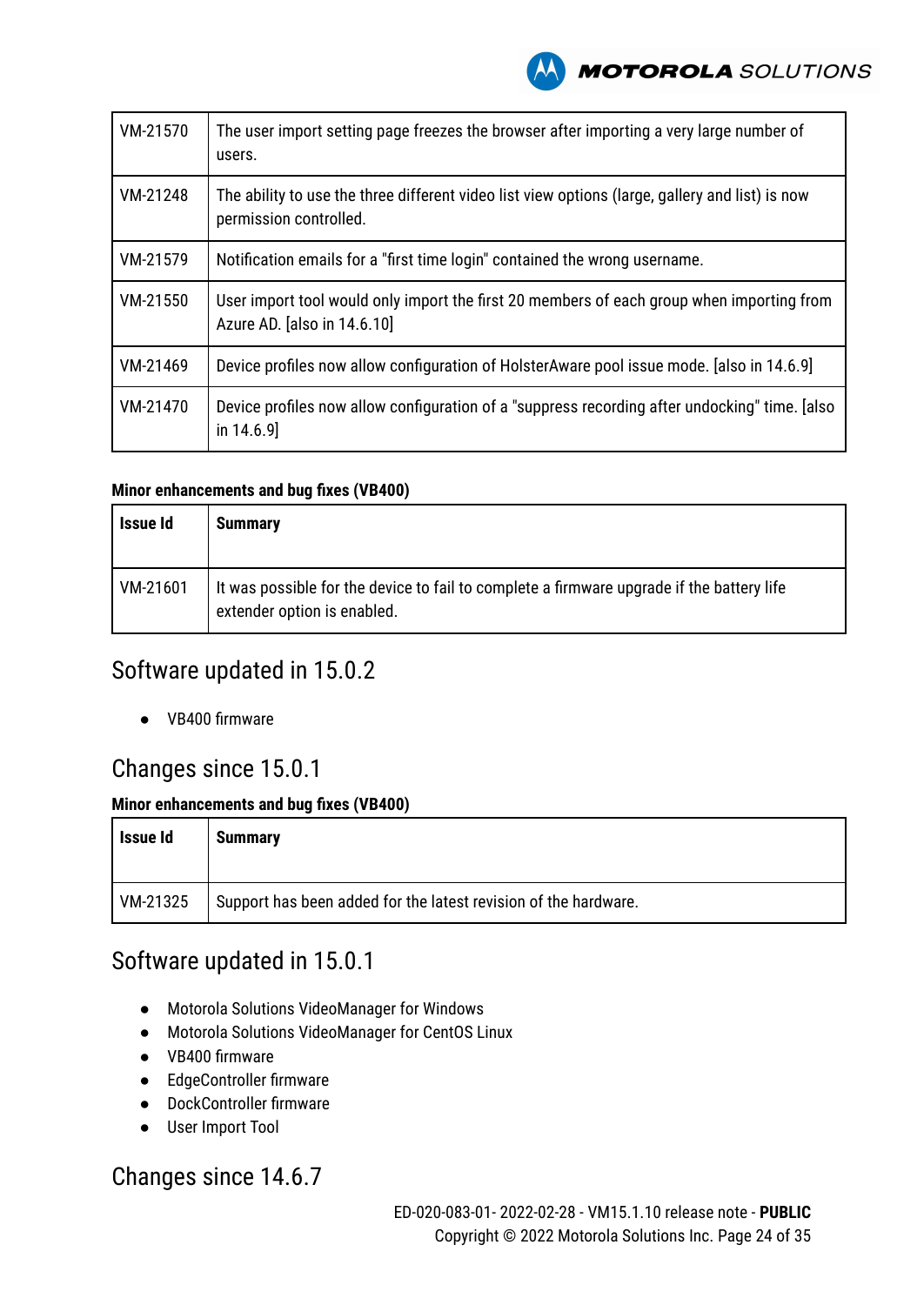

| VM-21570 | The user import setting page freezes the browser after importing a very large number of<br>users.                         |
|----------|---------------------------------------------------------------------------------------------------------------------------|
| VM-21248 | The ability to use the three different video list view options (large, gallery and list) is now<br>permission controlled. |
| VM-21579 | Notification emails for a "first time login" contained the wrong username.                                                |
| VM-21550 | User import tool would only import the first 20 members of each group when importing from<br>Azure AD. [also in 14.6.10]  |
| VM-21469 | Device profiles now allow configuration of HolsterAware pool issue mode. [also in 14.6.9]                                 |
| VM-21470 | Device profiles now allow configuration of a "suppress recording after undocking" time. [also]<br>in $14.6.9$ ]           |

#### **Minor enhancements and bug fixes (VB400)**

| Issue Id | <b>Summary</b>                                                                                                           |
|----------|--------------------------------------------------------------------------------------------------------------------------|
| VM-21601 | It was possible for the device to fail to complete a firmware upgrade if the battery life<br>extender option is enabled. |

### Software updated in 15.0.2

● VB400 firmware

### Changes since 15.0.1

#### **Minor enhancements and bug fixes (VB400)**

| Issue Id | <b>Summary</b>                                                  |
|----------|-----------------------------------------------------------------|
| VM-21325 | Support has been added for the latest revision of the hardware. |

## Software updated in 15.0.1

- Motorola Solutions VideoManager for Windows
- Motorola Solutions VideoManager for CentOS Linux
- VB400 firmware
- EdgeController firmware
- DockController firmware
- User Import Tool

### Changes since 14.6.7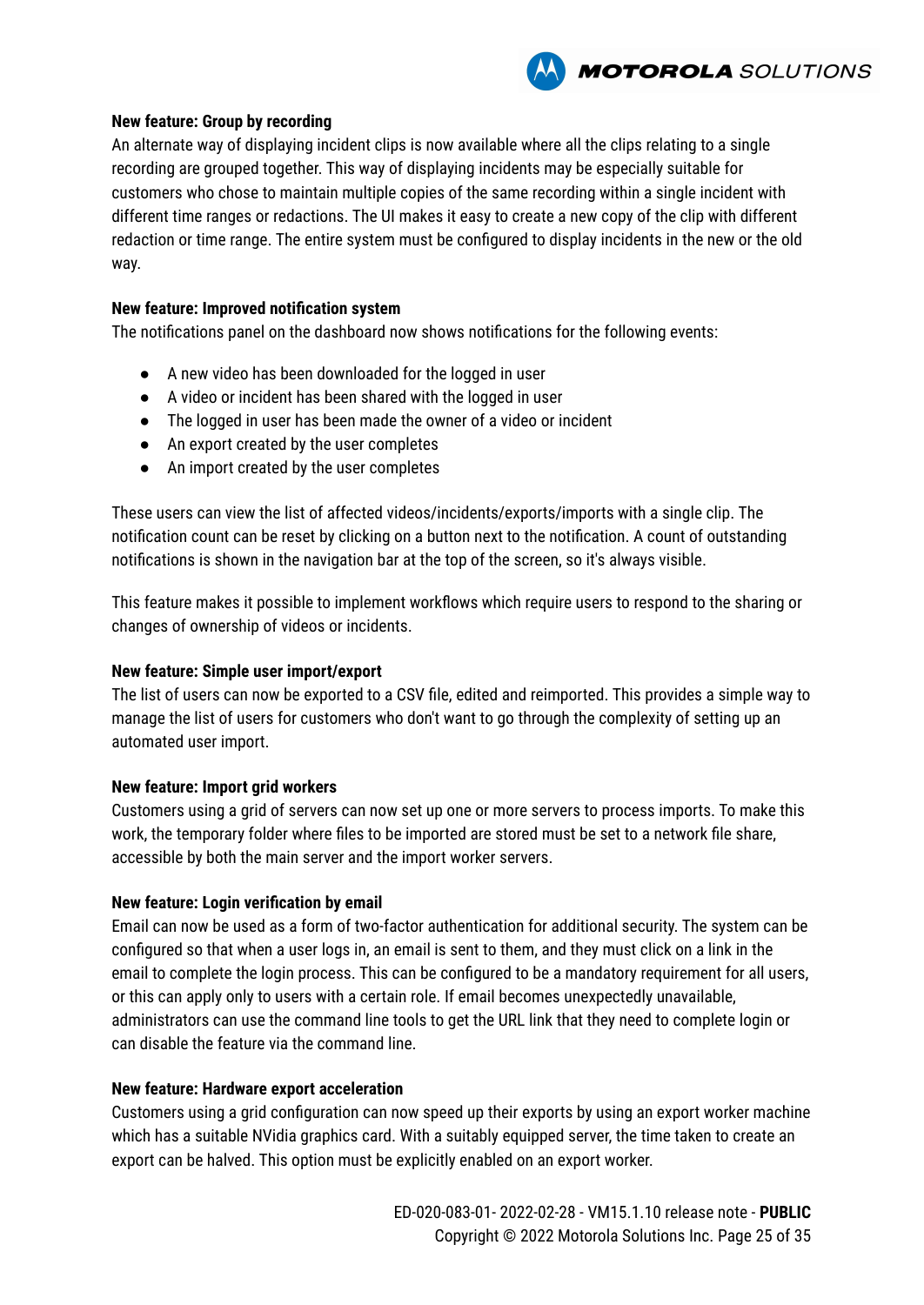

#### **New feature: Group by recording**

An alternate way of displaying incident clips is now available where all the clips relating to a single recording are grouped together. This way of displaying incidents may be especially suitable for customers who chose to maintain multiple copies of the same recording within a single incident with different time ranges or redactions. The UI makes it easy to create a new copy of the clip with different redaction or time range. The entire system must be configured to display incidents in the new or the old way.

#### **New feature: Improved notification system**

The notifications panel on the dashboard now shows notifications for the following events:

- A new video has been downloaded for the logged in user
- A video or incident has been shared with the logged in user
- The logged in user has been made the owner of a video or incident
- An export created by the user completes
- An import created by the user completes

These users can view the list of affected videos/incidents/exports/imports with a single clip. The notification count can be reset by clicking on a button next to the notification. A count of outstanding notifications is shown in the navigation bar at the top of the screen, so it's always visible.

This feature makes it possible to implement workflows which require users to respond to the sharing or changes of ownership of videos or incidents.

#### **New feature: Simple user import/export**

The list of users can now be exported to a CSV file, edited and reimported. This provides a simple way to manage the list of users for customers who don't want to go through the complexity of setting up an automated user import.

#### **New feature: Import grid workers**

Customers using a grid of servers can now set up one or more servers to process imports. To make this work, the temporary folder where files to be imported are stored must be set to a network file share, accessible by both the main server and the import worker servers.

#### **New feature: Login verification by email**

Email can now be used as a form of two-factor authentication for additional security. The system can be configured so that when a user logs in, an email is sent to them, and they must click on a link in the email to complete the login process. This can be configured to be a mandatory requirement for all users, or this can apply only to users with a certain role. If email becomes unexpectedly unavailable, administrators can use the command line tools to get the URL link that they need to complete login or can disable the feature via the command line.

#### **New feature: Hardware export acceleration**

Customers using a grid configuration can now speed up their exports by using an export worker machine which has a suitable NVidia graphics card. With a suitably equipped server, the time taken to create an export can be halved. This option must be explicitly enabled on an export worker.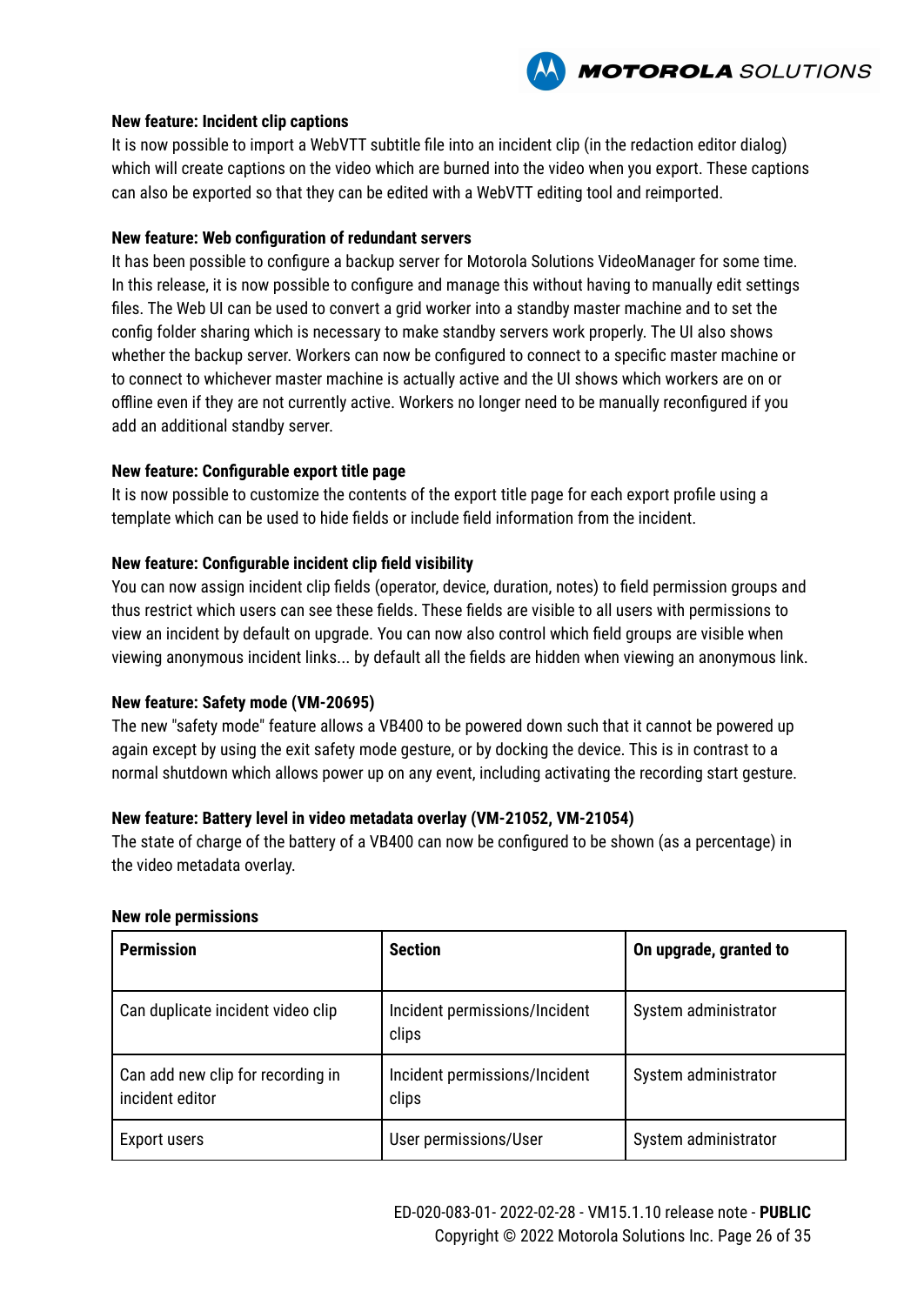

#### **New feature: Incident clip captions**

It is now possible to import a WebVTT subtitle file into an incident clip (in the redaction editor dialog) which will create captions on the video which are burned into the video when you export. These captions can also be exported so that they can be edited with a WebVTT editing tool and reimported.

#### **New feature: Web configuration of redundant servers**

It has been possible to configure a backup server for Motorola Solutions VideoManager for some time. In this release, it is now possible to configure and manage this without having to manually edit settings files. The Web UI can be used to convert a grid worker into a standby master machine and to set the config folder sharing which is necessary to make standby servers work properly. The UI also shows whether the backup server. Workers can now be configured to connect to a specific master machine or to connect to whichever master machine is actually active and the UI shows which workers are on or offline even if they are not currently active. Workers no longer need to be manually reconfigured if you add an additional standby server.

#### **New feature: Configurable export title page**

It is now possible to customize the contents of the export title page for each export profile using a template which can be used to hide fields or include field information from the incident.

#### **New feature: Configurable incident clip field visibility**

You can now assign incident clip fields (operator, device, duration, notes) to field permission groups and thus restrict which users can see these fields. These fields are visible to all users with permissions to view an incident by default on upgrade. You can now also control which field groups are visible when viewing anonymous incident links... by default all the fields are hidden when viewing an anonymous link.

#### **New feature: Safety mode (VM-20695)**

The new "safety mode" feature allows a VB400 to be powered down such that it cannot be powered up again except by using the exit safety mode gesture, or by docking the device. This is in contrast to a normal shutdown which allows power up on any event, including activating the recording start gesture.

#### **New feature: Battery level in video metadata overlay (VM-21052, VM-21054)**

The state of charge of the battery of a VB400 can now be configured to be shown (as a percentage) in the video metadata overlay.

| <b>Permission</b>                                    | <b>Section</b>                         | On upgrade, granted to |
|------------------------------------------------------|----------------------------------------|------------------------|
| Can duplicate incident video clip                    | Incident permissions/Incident<br>clips | System administrator   |
| Can add new clip for recording in<br>incident editor | Incident permissions/Incident<br>clips | System administrator   |
| Export users                                         | User permissions/User                  | System administrator   |

#### **New role permissions**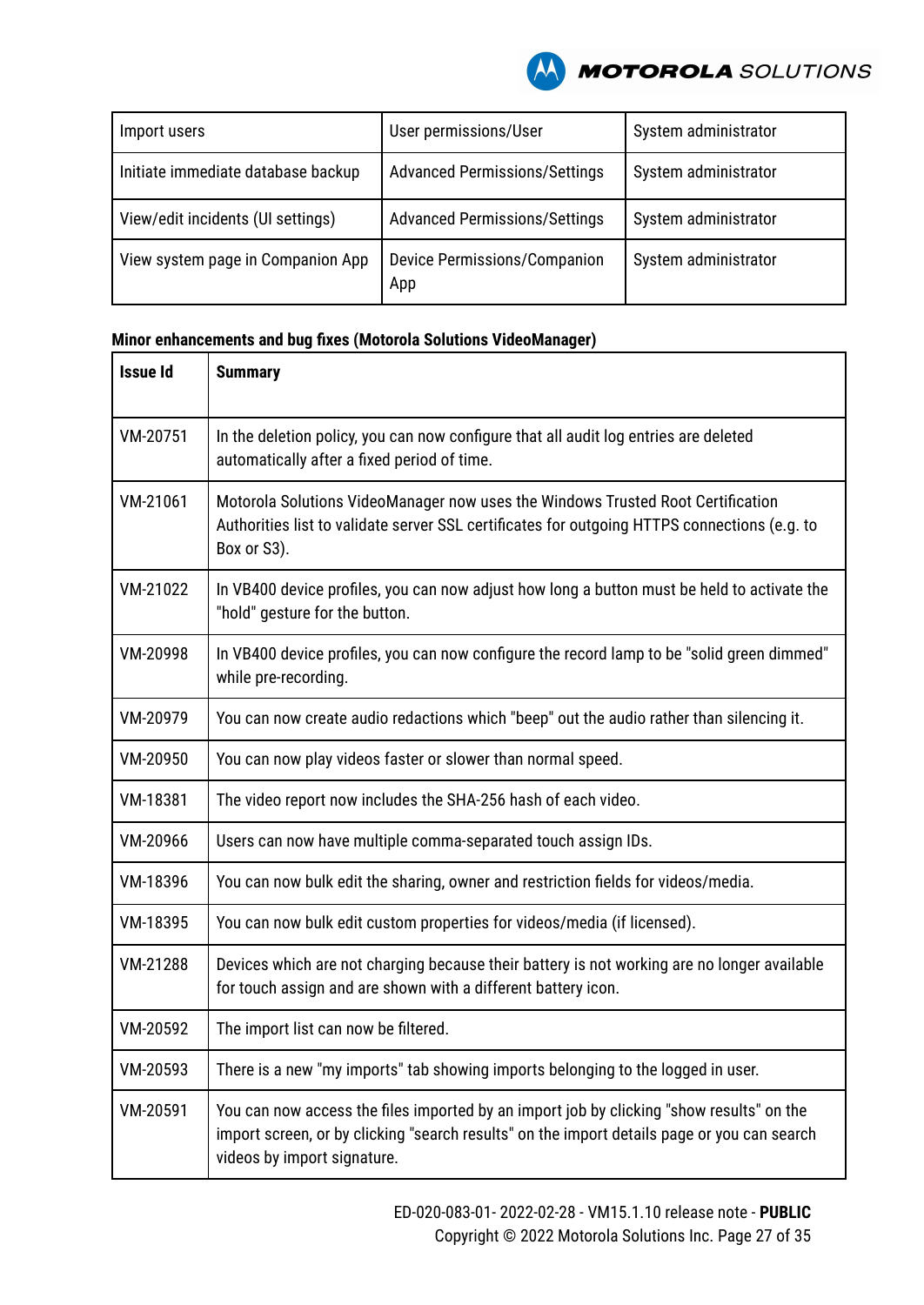

| Import users                       | User permissions/User                      | System administrator |
|------------------------------------|--------------------------------------------|----------------------|
| Initiate immediate database backup | <b>Advanced Permissions/Settings</b>       | System administrator |
| View/edit incidents (UI settings)  | <b>Advanced Permissions/Settings</b>       | System administrator |
| View system page in Companion App  | <b>Device Permissions/Companion</b><br>App | System administrator |

| <b>Issue Id</b> | <b>Summary</b>                                                                                                                                                                                                         |
|-----------------|------------------------------------------------------------------------------------------------------------------------------------------------------------------------------------------------------------------------|
| VM-20751        | In the deletion policy, you can now configure that all audit log entries are deleted<br>automatically after a fixed period of time.                                                                                    |
| VM-21061        | Motorola Solutions VideoManager now uses the Windows Trusted Root Certification<br>Authorities list to validate server SSL certificates for outgoing HTTPS connections (e.g. to<br>Box or S3).                         |
| VM-21022        | In VB400 device profiles, you can now adjust how long a button must be held to activate the<br>"hold" gesture for the button.                                                                                          |
| VM-20998        | In VB400 device profiles, you can now configure the record lamp to be "solid green dimmed"<br>while pre-recording.                                                                                                     |
| VM-20979        | You can now create audio redactions which "beep" out the audio rather than silencing it.                                                                                                                               |
| VM-20950        | You can now play videos faster or slower than normal speed.                                                                                                                                                            |
| VM-18381        | The video report now includes the SHA-256 hash of each video.                                                                                                                                                          |
| VM-20966        | Users can now have multiple comma-separated touch assign IDs.                                                                                                                                                          |
| VM-18396        | You can now bulk edit the sharing, owner and restriction fields for videos/media.                                                                                                                                      |
| VM-18395        | You can now bulk edit custom properties for videos/media (if licensed).                                                                                                                                                |
| VM-21288        | Devices which are not charging because their battery is not working are no longer available<br>for touch assign and are shown with a different battery icon.                                                           |
| VM-20592        | The import list can now be filtered.                                                                                                                                                                                   |
| VM-20593        | There is a new "my imports" tab showing imports belonging to the logged in user.                                                                                                                                       |
| VM-20591        | You can now access the files imported by an import job by clicking "show results" on the<br>import screen, or by clicking "search results" on the import details page or you can search<br>videos by import signature. |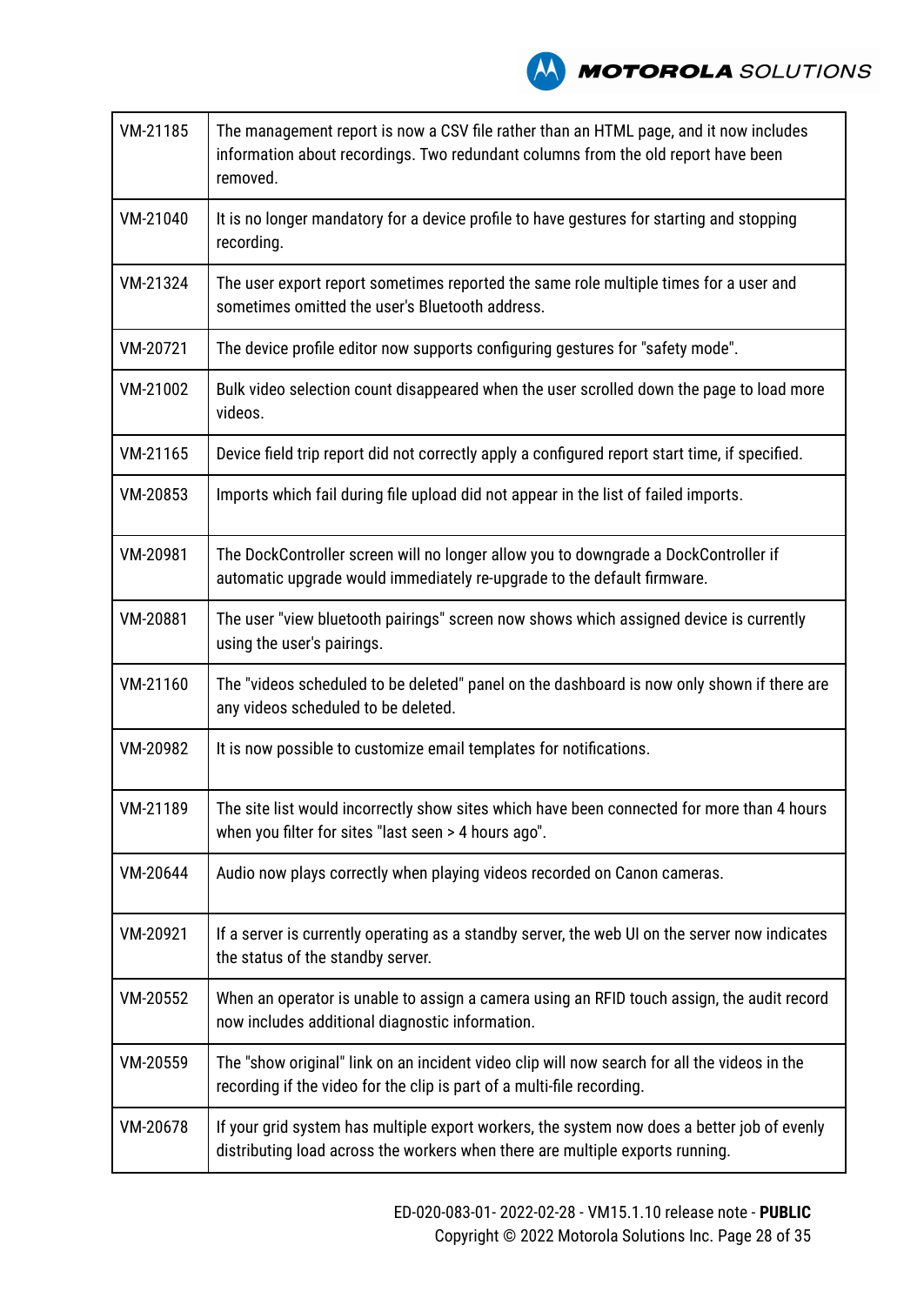

| VM-21185 | The management report is now a CSV file rather than an HTML page, and it now includes<br>information about recordings. Two redundant columns from the old report have been<br>removed. |
|----------|----------------------------------------------------------------------------------------------------------------------------------------------------------------------------------------|
| VM-21040 | It is no longer mandatory for a device profile to have gestures for starting and stopping<br>recording.                                                                                |
| VM-21324 | The user export report sometimes reported the same role multiple times for a user and<br>sometimes omitted the user's Bluetooth address.                                               |
| VM-20721 | The device profile editor now supports configuring gestures for "safety mode".                                                                                                         |
| VM-21002 | Bulk video selection count disappeared when the user scrolled down the page to load more<br>videos.                                                                                    |
| VM-21165 | Device field trip report did not correctly apply a configured report start time, if specified.                                                                                         |
| VM-20853 | Imports which fail during file upload did not appear in the list of failed imports.                                                                                                    |
| VM-20981 | The DockController screen will no longer allow you to downgrade a DockController if<br>automatic upgrade would immediately re-upgrade to the default firmware.                         |
| VM-20881 | The user "view bluetooth pairings" screen now shows which assigned device is currently<br>using the user's pairings.                                                                   |
| VM-21160 | The "videos scheduled to be deleted" panel on the dashboard is now only shown if there are<br>any videos scheduled to be deleted.                                                      |
| VM-20982 | It is now possible to customize email templates for notifications.                                                                                                                     |
| VM-21189 | The site list would incorrectly show sites which have been connected for more than 4 hours<br>when you filter for sites "last seen > 4 hours ago".                                     |
| VM-20644 | Audio now plays correctly when playing videos recorded on Canon cameras.                                                                                                               |
| VM-20921 | If a server is currently operating as a standby server, the web UI on the server now indicates<br>the status of the standby server.                                                    |
| VM-20552 | When an operator is unable to assign a camera using an RFID touch assign, the audit record<br>now includes additional diagnostic information.                                          |
| VM-20559 | The "show original" link on an incident video clip will now search for all the videos in the<br>recording if the video for the clip is part of a multi-file recording.                 |
| VM-20678 | If your grid system has multiple export workers, the system now does a better job of evenly<br>distributing load across the workers when there are multiple exports running.           |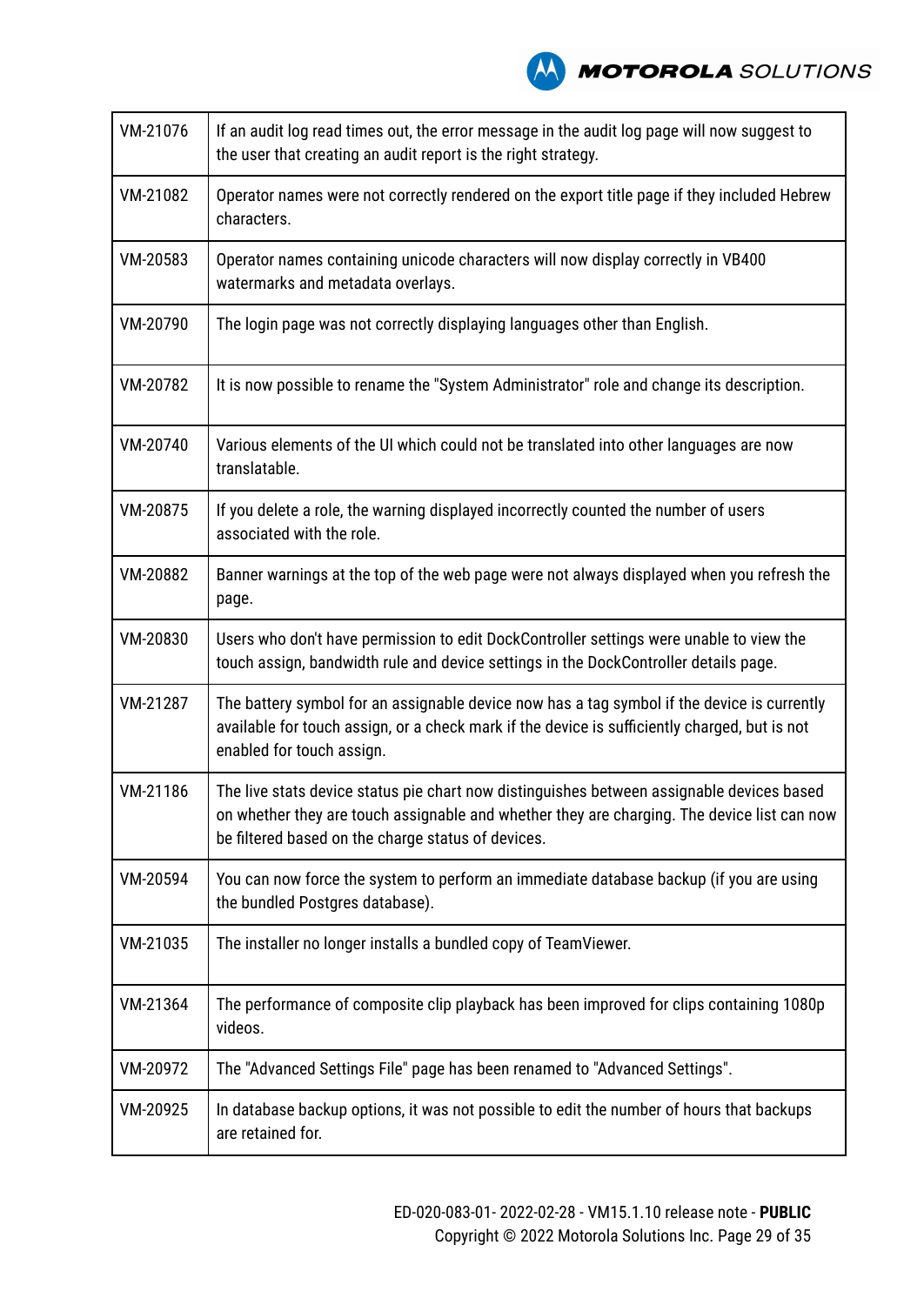

| VM-21076 | If an audit log read times out, the error message in the audit log page will now suggest to<br>the user that creating an audit report is the right strategy.                                                                                   |
|----------|------------------------------------------------------------------------------------------------------------------------------------------------------------------------------------------------------------------------------------------------|
| VM-21082 | Operator names were not correctly rendered on the export title page if they included Hebrew<br>characters.                                                                                                                                     |
| VM-20583 | Operator names containing unicode characters will now display correctly in VB400<br>watermarks and metadata overlays.                                                                                                                          |
| VM-20790 | The login page was not correctly displaying languages other than English.                                                                                                                                                                      |
| VM-20782 | It is now possible to rename the "System Administrator" role and change its description.                                                                                                                                                       |
| VM-20740 | Various elements of the UI which could not be translated into other languages are now<br>translatable.                                                                                                                                         |
| VM-20875 | If you delete a role, the warning displayed incorrectly counted the number of users<br>associated with the role.                                                                                                                               |
| VM-20882 | Banner warnings at the top of the web page were not always displayed when you refresh the<br>page.                                                                                                                                             |
| VM-20830 | Users who don't have permission to edit DockController settings were unable to view the<br>touch assign, bandwidth rule and device settings in the DockController details page.                                                                |
| VM-21287 | The battery symbol for an assignable device now has a tag symbol if the device is currently<br>available for touch assign, or a check mark if the device is sufficiently charged, but is not<br>enabled for touch assign.                      |
| VM-21186 | The live stats device status pie chart now distinguishes between assignable devices based<br>on whether they are touch assignable and whether they are charging. The device list can now<br>be filtered based on the charge status of devices. |
| VM-20594 | You can now force the system to perform an immediate database backup (if you are using<br>the bundled Postgres database).                                                                                                                      |
| VM-21035 | The installer no longer installs a bundled copy of TeamViewer.                                                                                                                                                                                 |
| VM-21364 | The performance of composite clip playback has been improved for clips containing 1080p<br>videos.                                                                                                                                             |
| VM-20972 | The "Advanced Settings File" page has been renamed to "Advanced Settings".                                                                                                                                                                     |
| VM-20925 | In database backup options, it was not possible to edit the number of hours that backups<br>are retained for.                                                                                                                                  |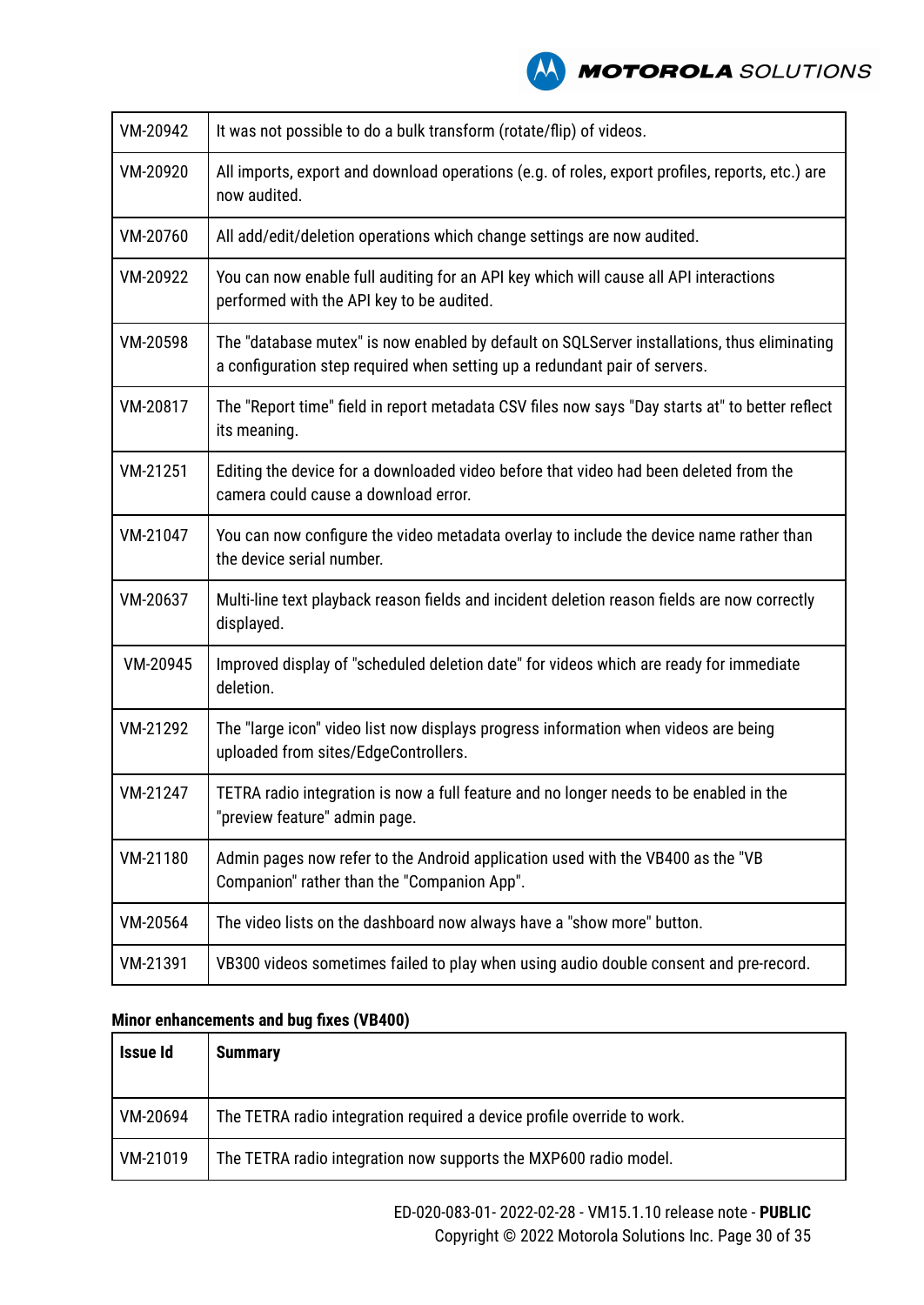| VM-20942 | It was not possible to do a bulk transform (rotate/flip) of videos.                                                                                                       |  |
|----------|---------------------------------------------------------------------------------------------------------------------------------------------------------------------------|--|
| VM-20920 | All imports, export and download operations (e.g. of roles, export profiles, reports, etc.) are<br>now audited.                                                           |  |
| VM-20760 | All add/edit/deletion operations which change settings are now audited.                                                                                                   |  |
| VM-20922 | You can now enable full auditing for an API key which will cause all API interactions<br>performed with the API key to be audited.                                        |  |
| VM-20598 | The "database mutex" is now enabled by default on SQLServer installations, thus eliminating<br>a configuration step required when setting up a redundant pair of servers. |  |
| VM-20817 | The "Report time" field in report metadata CSV files now says "Day starts at" to better reflect<br>its meaning.                                                           |  |
| VM-21251 | Editing the device for a downloaded video before that video had been deleted from the<br>camera could cause a download error.                                             |  |
| VM-21047 | You can now configure the video metadata overlay to include the device name rather than<br>the device serial number.                                                      |  |
| VM-20637 | Multi-line text playback reason fields and incident deletion reason fields are now correctly<br>displayed.                                                                |  |
| VM-20945 | Improved display of "scheduled deletion date" for videos which are ready for immediate<br>deletion.                                                                       |  |
| VM-21292 | The "large icon" video list now displays progress information when videos are being<br>uploaded from sites/EdgeControllers.                                               |  |
| VM-21247 | TETRA radio integration is now a full feature and no longer needs to be enabled in the<br>"preview feature" admin page.                                                   |  |
| VM-21180 | Admin pages now refer to the Android application used with the VB400 as the "VB<br>Companion" rather than the "Companion App".                                            |  |
| VM-20564 | The video lists on the dashboard now always have a "show more" button.                                                                                                    |  |
| VM-21391 | VB300 videos sometimes failed to play when using audio double consent and pre-record.                                                                                     |  |

| <b>Issue Id</b> | <b>Summary</b>                                                          |
|-----------------|-------------------------------------------------------------------------|
| VM-20694        | The TETRA radio integration required a device profile override to work. |
| VM-21019        | The TETRA radio integration now supports the MXP600 radio model.        |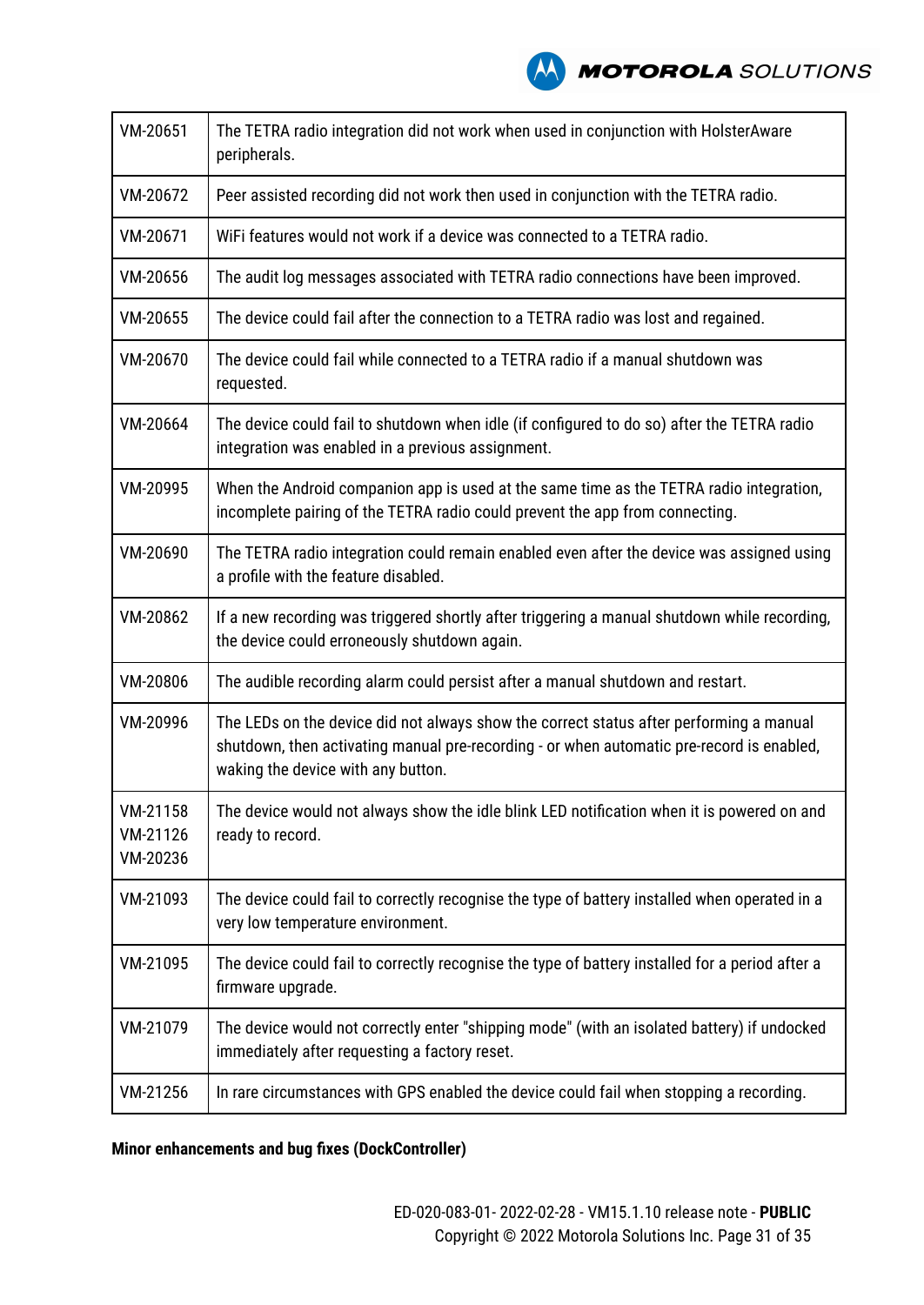**AN MOTOROLA** SOLUTIONS

| VM-20651                         | The TETRA radio integration did not work when used in conjunction with HolsterAware<br>peripherals.                                                                                                                        |  |
|----------------------------------|----------------------------------------------------------------------------------------------------------------------------------------------------------------------------------------------------------------------------|--|
| VM-20672                         | Peer assisted recording did not work then used in conjunction with the TETRA radio.                                                                                                                                        |  |
| VM-20671                         | WiFi features would not work if a device was connected to a TETRA radio.                                                                                                                                                   |  |
| VM-20656                         | The audit log messages associated with TETRA radio connections have been improved.                                                                                                                                         |  |
| VM-20655                         | The device could fail after the connection to a TETRA radio was lost and regained.                                                                                                                                         |  |
| VM-20670                         | The device could fail while connected to a TETRA radio if a manual shutdown was<br>requested.                                                                                                                              |  |
| VM-20664                         | The device could fail to shutdown when idle (if configured to do so) after the TETRA radio<br>integration was enabled in a previous assignment.                                                                            |  |
| VM-20995                         | When the Android companion app is used at the same time as the TETRA radio integration,<br>incomplete pairing of the TETRA radio could prevent the app from connecting.                                                    |  |
| VM-20690                         | The TETRA radio integration could remain enabled even after the device was assigned using<br>a profile with the feature disabled.                                                                                          |  |
| VM-20862                         | If a new recording was triggered shortly after triggering a manual shutdown while recording,<br>the device could erroneously shutdown again.                                                                               |  |
| VM-20806                         | The audible recording alarm could persist after a manual shutdown and restart.                                                                                                                                             |  |
| VM-20996                         | The LEDs on the device did not always show the correct status after performing a manual<br>shutdown, then activating manual pre-recording - or when automatic pre-record is enabled,<br>waking the device with any button. |  |
| VM-21158<br>VM-21126<br>VM-20236 | The device would not always show the idle blink LED notification when it is powered on and<br>ready to record.                                                                                                             |  |
| VM-21093                         | The device could fail to correctly recognise the type of battery installed when operated in a<br>very low temperature environment.                                                                                         |  |
| VM-21095                         | The device could fail to correctly recognise the type of battery installed for a period after a<br>firmware upgrade.                                                                                                       |  |
| VM-21079                         | The device would not correctly enter "shipping mode" (with an isolated battery) if undocked<br>immediately after requesting a factory reset.                                                                               |  |
| VM-21256                         | In rare circumstances with GPS enabled the device could fail when stopping a recording.                                                                                                                                    |  |

### **Minor enhancements and bug fixes (DockController)**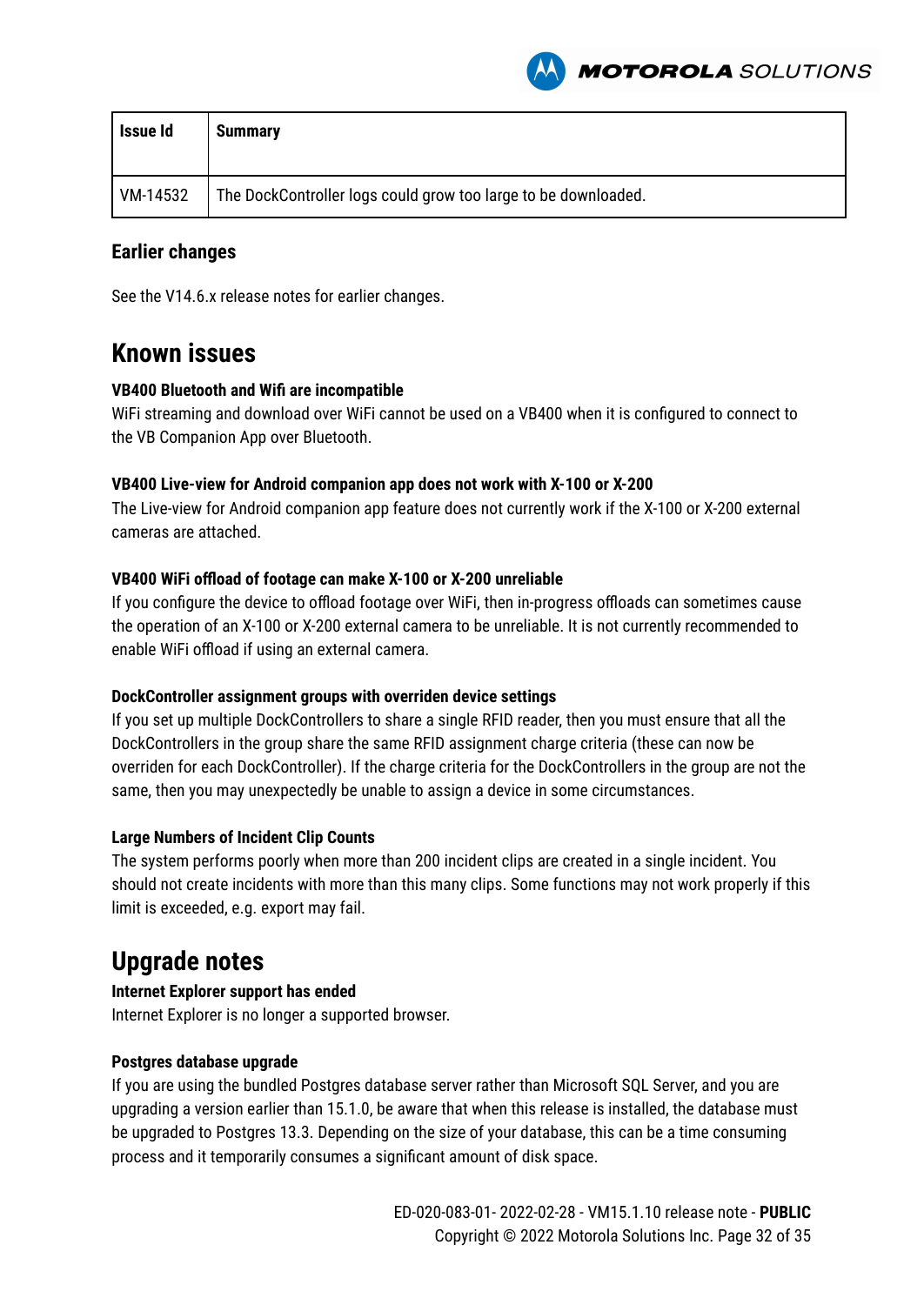

| <b>Issue Id</b> | <b>Summary</b>                                                 |
|-----------------|----------------------------------------------------------------|
| VM-14532        | The DockController logs could grow too large to be downloaded. |

#### **Earlier changes**

See the V14.6.x release notes for earlier changes.

### **Known issues**

#### **VB400 Bluetooth and Wifi are incompatible**

WiFi streaming and download over WiFi cannot be used on a VB400 when it is configured to connect to the VB Companion App over Bluetooth.

#### **VB400 Live-view for Android companion app does not work with X-100 or X-200**

The Live-view for Android companion app feature does not currently work if the X-100 or X-200 external cameras are attached.

#### **VB400 WiFi offload of footage can make X-100 or X-200 unreliable**

If you configure the device to offload footage over WiFi, then in-progress offloads can sometimes cause the operation of an X-100 or X-200 external camera to be unreliable. It is not currently recommended to enable WiFi offload if using an external camera.

#### **DockController assignment groups with overriden device settings**

If you set up multiple DockControllers to share a single RFID reader, then you must ensure that all the DockControllers in the group share the same RFID assignment charge criteria (these can now be overriden for each DockController). If the charge criteria for the DockControllers in the group are not the same, then you may unexpectedly be unable to assign a device in some circumstances.

#### **Large Numbers of Incident Clip Counts**

The system performs poorly when more than 200 incident clips are created in a single incident. You should not create incidents with more than this many clips. Some functions may not work properly if this limit is exceeded, e.g. export may fail.

# **Upgrade notes**

#### **Internet Explorer support has ended**

Internet Explorer is no longer a supported browser.

#### **Postgres database upgrade**

If you are using the bundled Postgres database server rather than Microsoft SQL Server, and you are upgrading a version earlier than 15.1.0, be aware that when this release is installed, the database must be upgraded to Postgres 13.3. Depending on the size of your database, this can be a time consuming process and it temporarily consumes a significant amount of disk space.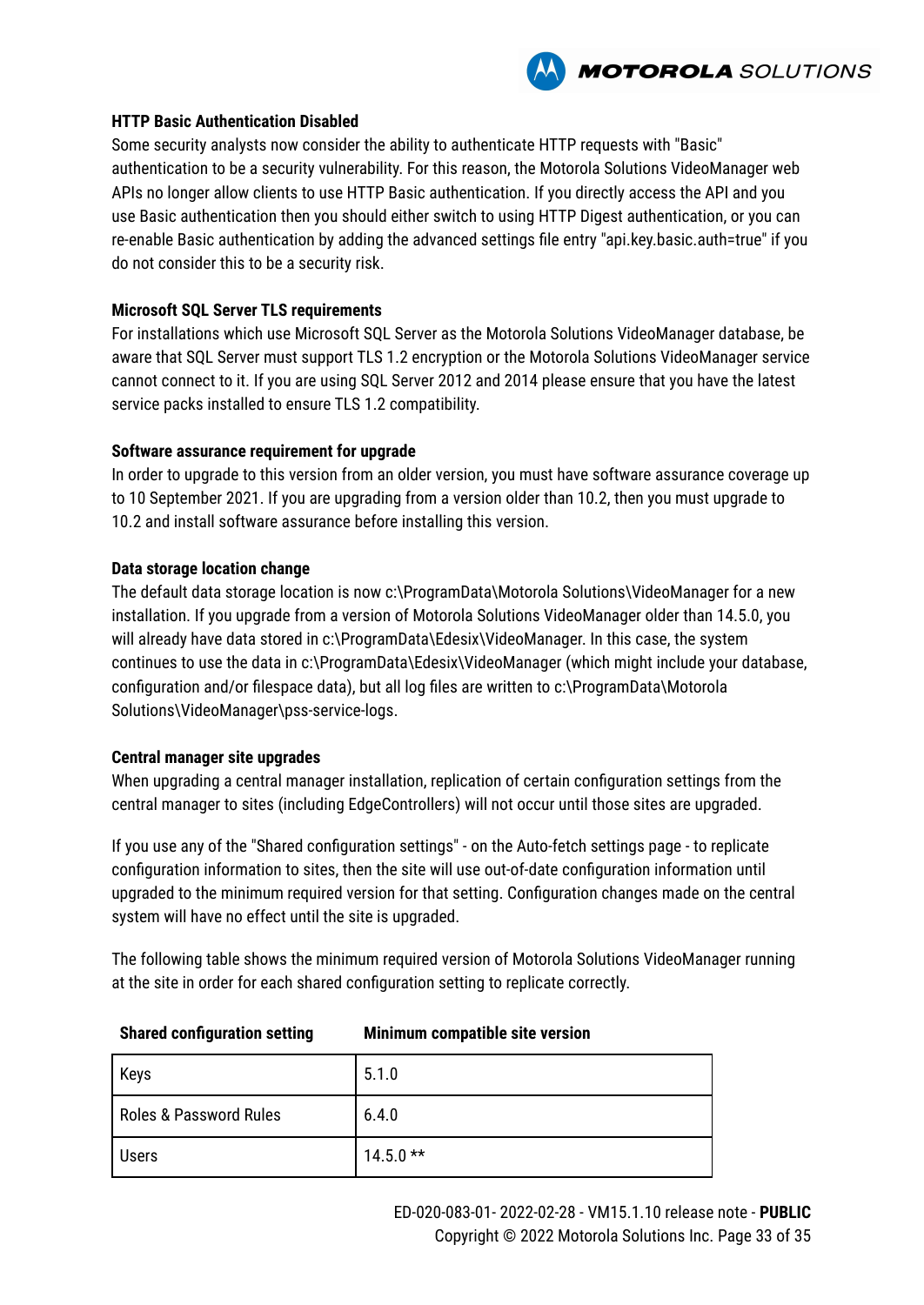

#### **HTTP Basic Authentication Disabled**

Some security analysts now consider the ability to authenticate HTTP requests with "Basic" authentication to be a security vulnerability. For this reason, the Motorola Solutions VideoManager web APIs no longer allow clients to use HTTP Basic authentication. If you directly access the API and you use Basic authentication then you should either switch to using HTTP Digest authentication, or you can re-enable Basic authentication by adding the advanced settings file entry "api.key.basic.auth=true" if you do not consider this to be a security risk.

#### **Microsoft SQL Server TLS requirements**

For installations which use Microsoft SQL Server as the Motorola Solutions VideoManager database, be aware that SQL Server must support TLS 1.2 encryption or the Motorola Solutions VideoManager service cannot connect to it. If you are using SQL Server 2012 and 2014 please ensure that you have the latest service packs installed to ensure TLS 1.2 compatibility.

#### **Software assurance requirement for upgrade**

In order to upgrade to this version from an older version, you must have software assurance coverage up to 10 September 2021. If you are upgrading from a version older than 10.2, then you must upgrade to 10.2 and install software assurance before installing this version.

#### **Data storage location change**

The default data storage location is now c:\ProgramData\Motorola Solutions\VideoManager for a new installation. If you upgrade from a version of Motorola Solutions VideoManager older than 14.5.0, you will already have data stored in c:\ProgramData\Edesix\VideoManager. In this case, the system continues to use the data in c:\ProgramData\Edesix\VideoManager (which might include your database, configuration and/or filespace data), but all log files are written to c:\ProgramData\Motorola Solutions\VideoManager\pss-service-logs.

#### **Central manager site upgrades**

When upgrading a central manager installation, replication of certain configuration settings from the central manager to sites (including EdgeControllers) will not occur until those sites are upgraded.

If you use any of the "Shared configuration settings" - on the Auto-fetch settings page - to replicate configuration information to sites, then the site will use out-of-date configuration information until upgraded to the minimum required version for that setting. Configuration changes made on the central system will have no effect until the site is upgraded.

The following table shows the minimum required version of Motorola Solutions VideoManager running at the site in order for each shared configuration setting to replicate correctly.

| Keys                   | 5.1.0      |
|------------------------|------------|
| Roles & Password Rules | 6.4.0      |
| <b>Users</b>           | $14.5.0**$ |

#### **Shared configuration setting Minimum compatible site version**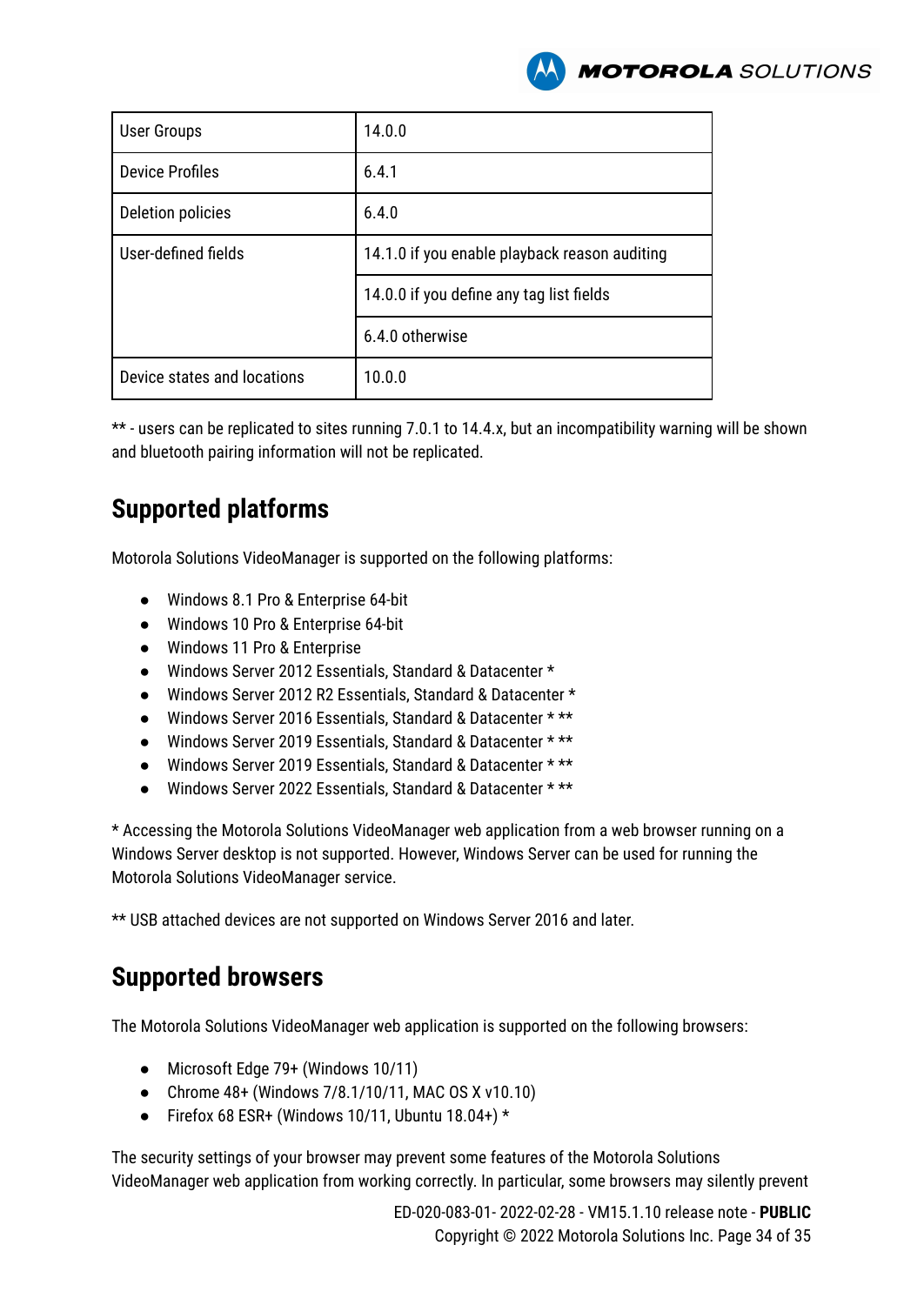

| <b>User Groups</b>          | 14.0.0                                        |  |
|-----------------------------|-----------------------------------------------|--|
| <b>Device Profiles</b>      | 6.4.1                                         |  |
| Deletion policies           | 6.4.0                                         |  |
| User-defined fields         | 14.1.0 if you enable playback reason auditing |  |
|                             | 14.0.0 if you define any tag list fields      |  |
|                             | 6.4.0 otherwise                               |  |
| Device states and locations | 10.0.0                                        |  |

\*\* - users can be replicated to sites running 7.0.1 to 14.4.x, but an incompatibility warning will be shown and bluetooth pairing information will not be replicated.

# **Supported platforms**

Motorola Solutions VideoManager is supported on the following platforms:

- Windows 8.1 Pro & Enterprise 64-bit
- Windows 10 Pro & Enterprise 64-bit
- Windows 11 Pro & Enterprise
- Windows Server 2012 Essentials, Standard & Datacenter \*
- Windows Server 2012 R2 Essentials, Standard & Datacenter \*
- Windows Server 2016 Essentials, Standard & Datacenter \* \*\*
- Windows Server 2019 Essentials, Standard & Datacenter \* \*\*
- Windows Server 2019 Essentials, Standard & Datacenter \* \*\*
- Windows Server 2022 Essentials, Standard & Datacenter \* \*\*

\* Accessing the Motorola Solutions VideoManager web application from a web browser running on a Windows Server desktop is not supported. However, Windows Server can be used for running the Motorola Solutions VideoManager service.

\*\* USB attached devices are not supported on Windows Server 2016 and later.

# **Supported browsers**

The Motorola Solutions VideoManager web application is supported on the following browsers:

- Microsoft Edge 79+ (Windows 10/11)
- Chrome 48+ (Windows 7/8.1/10/11, MAC OS X v10.10)
- Firefox 68 ESR+ (Windows 10/11, Ubuntu 18.04+)  $*$

The security settings of your browser may prevent some features of the Motorola Solutions VideoManager web application from working correctly. In particular, some browsers may silently prevent